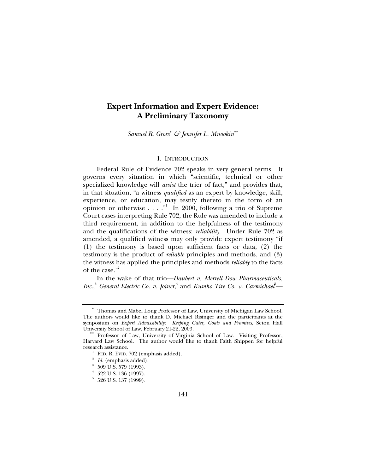# **Expert Information and Expert Evidence: A Preliminary Taxonomy**

*Samuel R. Gross*<sup>∗</sup>  *& Jennifer L. Mnookin*∗∗

# I. INTRODUCTION

Federal Rule of Evidence 702 speaks in very general terms. It governs every situation in which "scientific, technical or other specialized knowledge will *assist* the trier of fact," and provides that, in that situation, "a witness *qualified* as an expert by knowledge, skill, experience, or education, may testify thereto in the form of an opinion or otherwise  $\ldots$ ." In 2000, following a trio of Supreme Court cases interpreting Rule 702, the Rule was amended to include a third requirement, in addition to the helpfulness of the testimony and the qualifications of the witness: *reliability*. Under Rule 702 as amended, a qualified witness may only provide expert testimony "if (1) the testimony is based upon sufficient facts or data, (2) the testimony is the product of *reliable* principles and methods, and (3) the witness has applied the principles and methods *reliably* to the facts of the case."<sup>2</sup>

In the wake of that trio—*Daubert v. Merrell Dow Pharmaceuticals, Inc.*,<sup>3</sup> General Electric Co. v. Joiner,<sup>4</sup> and *Kumho Tire Co. v. Carmichael*<sup>5</sup>—

<sup>∗</sup> Thomas and Mabel Long Professor of Law, University of Michigan Law School. The authors would like to thank D. Michael Risinger and the participants at the symposium on *Expert Admissibility: Keeping Gates, Goals and Promises*, Seton Hall

<sup>\*\*</sup> Professor of Law, University of Virginia School of Law. Visiting Professor, Harvard Law School. The author would like to thank Faith Shippen for helpful research assistance.

 $^{\rm 1}$  FED. R. EVID. 702 (emphasis added).  $^{\rm 2}$  *Id.* (emphasis added).  $^{\rm 3}$  509 U.S. 579 (1993).

 $^4$  522 U.S. 136 (1997).<br>  $^5$  526 U.S. 137 (1999).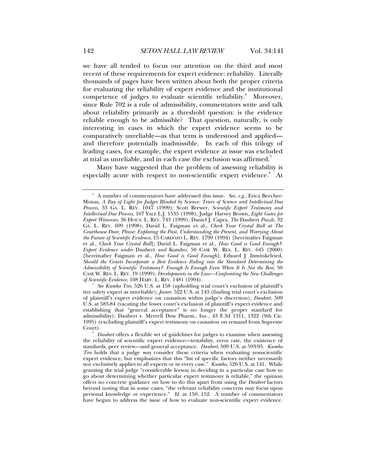we have all tended to focus our attention on the third and most recent of these requirements for expert evidence: reliability. Literally thousands of pages have been written about both the proper criteria for evaluating the reliability of expert evidence and the institutional competence of judges to evaluate scientific reliability.<sup>6</sup> Moreover, since Rule 702 is a rule of admissibility, commentators write and talk about reliability primarily as a threshold question: is the evidence reliable enough to be admissible? That question, naturally, is only interesting in cases in which the expert evidence seems to be comparatively unreliable—as that term is understood and applied and therefore potentially inadmissible. In each of this trilogy of leading cases, for example, the expert evidence at issue was excluded at trial as unreliable, and in each case the exclusion was affirmed.<sup>7</sup>

Many have suggested that the problem of assessing reliability is especially acute with respect to non-scientific expert evidence.<sup>8</sup> At

 <sup>6</sup> A number of commentators have addressed this issue. *See, e.g.*, Erica Beecher-Monas, *A Ray of Light for Judges Blinded by Science: Triers of Science and Intellectual Due Process*, 33 GA. L. REV. 1047 (1999); Scott Brewer, *Scientific Expert Testimony and Intellectual Due Process*, 107 YALE L.J. 1535 (1998); Judge Harvey Brown, *Eight Gates for Expert Witnesses*, 36 HOUS. L. REV. 743 (1999); Daniel J. Capra, *The* Daubert *Puzzle*, 32 GA. L. REV. 699 (1998); David L. Faigman et al., *Check Your Crystal Ball at The Courthouse Door, Please: Exploring the Past, Understanding the Present, and Worrying About the Future of Scientific Evidence*, 15 CARDOZO L. REV. 1799 (1994) [hereinafter Faigman et al., *Check Your Crystal Ball*]; David L. Faigman et al., *How Good is Good Enough?: Expert Evidence under* Daubert *and* Kumho, 50 CASE W. RES. L. REV. 645 (2000) [hereinafter Faigman et al., *How Good is Good Enough*]; Edward J. Imwinkelried, *Should the Courts Incorporate a Best Evidence Ruling into the Standard Determining the Admissibility of Scientific Testimony?: Enough Is Enough Even When It Is Not the Best*, 50 CASE W. RES. L. REV. 19 (1999); *Developments in the Law—Confronting the New Challenges* 

*See Kumho Tire*, 526 U.S. at 158 (upholding trial court's exclusion of plaintiff's tire safety expert as unreliable); *Joiner*, 522 U.S. at 143 (finding trial court's exclusion of plaintiff's expert evidence on causation within judge's discretion); *Daubert*, 509 U.S. at 583-84 (vacating the lower court's exclusion of plaintiff's expert evidence and establishing that "general acceptance" is no longer the proper standard for admissibility); Daubert v. Merrell Dow Pharm., Inc., 43 F.3d 1311, 1322 (9th Cir. 1995) (excluding plaintiff's expert testimony on causation on remand from Supreme Court).

<sup>8</sup>*Daubert* offers a flexible set of guidelines for judges to examine when assessing the reliability of scientific expert evidence—testability, error rate, the existence of standards, peer review—and general acceptance. *Daubert*, 509 U.S. at 593-95. *Kumho Tire* holds that a judge *may* consider these criteria when evaluating nonscientific expert evidence, but emphasizes that this "list of specific factors neither necessarily nor exclusively applies to all experts or in every case." *Kumho*, 526 U.S. at 141. While granting the trial judge "considerable leeway in deciding in a particular case how to go about determining whether particular expert testimony is reliable," the opinion offers no concrete guidance on how to do this apart from using the *Daubert* factors beyond noting that in some cases, "the relevant reliability concerns may focus upon personal knowledge or experience." *Id.* at 150, 152. A number of commentators have begun to address the issue of how to evaluate non-scientific expert evidence.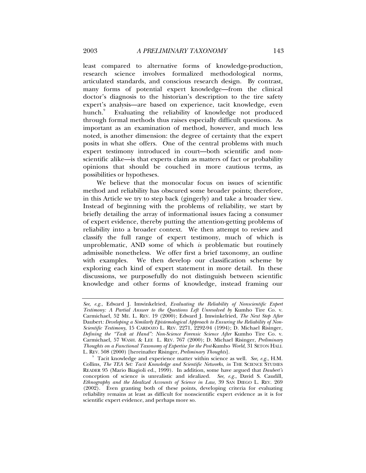least compared to alternative forms of knowledge-production, research science involves formalized methodological norms, articulated standards, and conscious research design. By contrast, many forms of potential expert knowledge—from the clinical doctor's diagnosis to the historian's description to the tire safety expert's analysis—are based on experience, tacit knowledge, even hunch.<sup>9</sup> Evaluating the reliability of knowledge not produced through formal methods thus raises especially difficult questions. As important as an examination of method, however, and much less noted, is another dimension: the degree of certainty that the expert posits in what she offers. One of the central problems with much expert testimony introduced in court—both scientific and nonscientific alike—is that experts claim as matters of fact or probability opinions that should be couched in more cautious terms, as possibilities or hypotheses.

We believe that the monocular focus on issues of scientific method and reliability has obscured some broader points; therefore, in this Article we try to step back (gingerly) and take a broader view. Instead of beginning with the problems of reliability, we start by briefly detailing the array of informational issues facing a consumer of expert evidence, thereby putting the attention-getting problems of reliability into a broader context. We then attempt to review and classify the full range of expert testimony, much of which is unproblematic, AND some of which *is* problematic but routinely admissible nonetheless. We offer first a brief taxonomy, an outline with examples. We then develop our classification scheme by exploring each kind of expert statement in more detail. In these discussions, we purposefully do not distinguish between scientific knowledge and other forms of knowledge, instead framing our

*See, e.g.*, Edward J. Imwinkelried, *Evaluating the Reliability of Nonscientific Expert Testimony: A Partial Answer to the Questions Left Unresolved by* Kumho Tire Co. v. Carmichael, 52 ME. L. REV. 19 (2000); Edward J. Imwinkelried, *The Next Step After*  Daubert*: Developing a Similarly Epistemological Approach to Ensuring the Reliability of Non-Scientific Testimony*, 15 CARDOZO L. REV. 2271, 2292-94 (1994); D. Michael Risinger, *Defining the "Task at Hand": Non-Science Forensic Science After* Kumho Tire Co. v. Carmichael, 57 WASH. & LEE L. REV. 767 (2000); D. Michael Risinger, *Preliminary Thoughts on a Functional Taxonomy of Expertise for the Post-Kumho World*,  $\overline{3}1$  SETON HALL L. REV. 508 (2000) [hereinafter Risinger, *Preliminary Thoughts*].

<sup>&</sup>lt;sup>9</sup> Tacit knowledge and experience matter within science as well. *See, e.g.*, H.M. Collins, *The TEA Set: Tacit Knowledge and Scientific Networks*, *in* THE SCIENCE STUDIES READER 95 (Mario Biagioli ed., 1999). In addition, some have argued that *Daubert's* conception of science is unrealistic and idealized. *See, e.g.*, David S. Caudill, *Ethnography and the Idealized Accounts of Science in Law*, 39 SAN DIEGO L. REV. 269 (2002). Even granting both of these points, developing criteria for evaluating reliability remains at least as difficult for nonscientific expert evidence as it is for scientific expert evidence, and perhaps more so.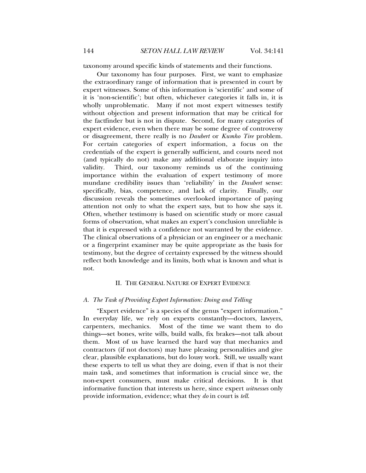taxonomy around specific kinds of statements and their functions.

Our taxonomy has four purposes. First, we want to emphasize the extraordinary range of information that is presented in court by expert witnesses. Some of this information is 'scientific' and some of it is 'non-scientific'; but often, whichever categories it falls in, it is wholly unproblematic. Many if not most expert witnesses testify without objection and present information that may be critical for the factfinder but is not in dispute. Second, for many categories of expert evidence, even when there may be some degree of controversy or disagreement, there really is no *Daubert* or *Kumho Tire* problem. For certain categories of expert information, a focus on the credentials of the expert is generally sufficient, and courts need not (and typically do not) make any additional elaborate inquiry into validity. Third, our taxonomy reminds us of the continuing importance within the evaluation of expert testimony of more mundane credibility issues than 'reliability' in the *Daubert* sense: specifically, bias, competence, and lack of clarity. Finally, our discussion reveals the sometimes overlooked importance of paying attention not only to what the expert says, but to how she says it. Often, whether testimony is based on scientific study or more casual forms of observation, what makes an expert's conclusion unreliable is that it is expressed with a confidence not warranted by the evidence. The clinical observations of a physician or an engineer or a mechanic or a fingerprint examiner may be quite appropriate as the basis for testimony, but the degree of certainty expressed by the witness should reflect both knowledge and its limits, both what is known and what is not.

# II. THE GENERAL NATURE OF EXPERT EVIDENCE

# *A. The Task of Providing Expert Information: Doing and Telling*

"Expert evidence" is a species of the genus "expert information." In everyday life, we rely on experts constantly—doctors, lawyers, carpenters, mechanics. Most of the time we want them to do things—set bones, write wills, build walls, fix brakes—not talk about them. Most of us have learned the hard way that mechanics and contractors (if not doctors) may have pleasing personalities and give clear, plausible explanations, but do lousy work. Still, we usually want these experts to tell us what they are doing, even if that is not their main task, and sometimes that information is crucial since we, the non-expert consumers, must make critical decisions. It is that informative function that interests us here, since expert *witnesses* only provide information, evidence; what they *do* in court is *tell*.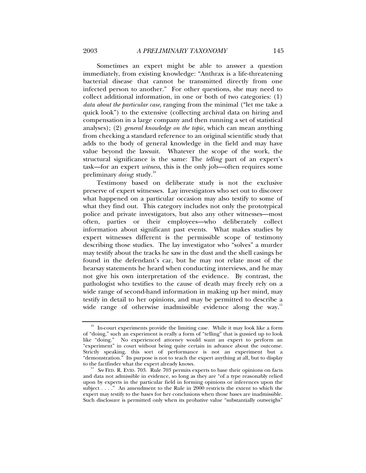Sometimes an expert might be able to answer a question immediately, from existing knowledge: "Anthrax is a life-threatening bacterial disease that cannot be transmitted directly from one infected person to another." For other questions, she may need to collect additional information, in one or both of two categories: (1) *data about the particular case*, ranging from the minimal ("let me take a quick look") to the extensive (collecting archival data on hiring and compensation in a large company and then running a set of statistical analyses); (2) *general knowledge on the topic*, which can mean anything from checking a standard reference to an original scientific study that adds to the body of general knowledge in the field and may have value beyond the lawsuit. Whatever the scope of the work, the structural significance is the same: The *telling* part of an expert's task—for an expert *witness*, this is the only job—often requires some preliminary *doing*: study.<sup>10</sup>

Testimony based on deliberate study is not the exclusive preserve of expert witnesses. Lay investigators who set out to discover what happened on a particular occasion may also testify to some of what they find out. This category includes not only the prototypical police and private investigators, but also any other witnesses—most often, parties or their employees—who deliberately collect information about significant past events. What makes studies by expert witnesses different is the permissible scope of testimony describing those studies. The lay investigator who "solves" a murder may testify about the tracks he saw in the dust and the shell casings he found in the defendant's car, but he may not relate most of the hearsay statements he heard when conducting interviews, and he may not give his own interpretation of the evidence. By contrast, the pathologist who testifies to the cause of death may freely rely on a wide range of second-hand information in making up her mind, may testify in detail to her opinions, and may be permitted to describe a wide range of otherwise inadmissible evidence along the way.<sup>11</sup>

 $10$  In-court experiments provide the limiting case. While it may look like a form of "doing," such an experiment is really a form of "telling" that is gussied up to look like "doing." No experienced attorney would want an expert to perform an "experiment" in court without being quite certain in advance about the outcome. Strictly speaking, this sort of performance is not an experiment but a "demonstration." Its purpose is not to teach the expert anything at all, but to display to the factfinder what the expert already knows.

<sup>&</sup>lt;sup>11</sup> See FED. R. EVID. 703. Rule 703 permits experts to base their opinions on facts and data not admissible in evidence, so long as they are "of a type reasonably relied upon by experts in the particular field in forming opinions or inferences upon the subject . . . . " An amendment to the Rule in 2000 restricts the extent to which the expert may testify to the bases for her conclusions when those bases are inadmissible. Such disclosure is permitted only when its probative value "substantially outweighs"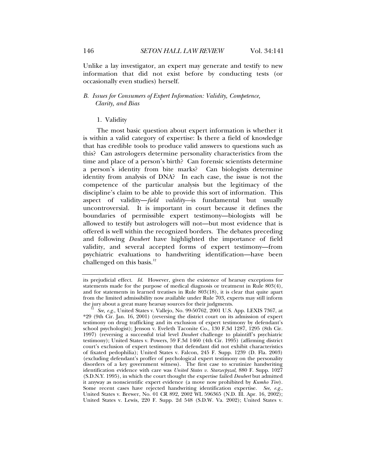Unlike a lay investigator, an expert may generate and testify to new information that did not exist before by conducting tests (or occasionally even studies) herself.

# *B. Issues for Consumers of Expert Information: Validity, Competence, Clarity, and Bias*

### 1. Validity

The most basic question about expert information is whether it is within a valid category of expertise: Is there a field of knowledge that has credible tools to produce valid answers to questions such as this? Can astrologers determine personality characteristics from the time and place of a person's birth? Can forensic scientists determine a person's identity from bite marks? Can biologists determine identity from analysis of DNA? In each case, the issue is not the competence of the particular analysis but the legitimacy of the discipline's claim to be able to provide this sort of information. This aspect of validity—*field validity—*is fundamental but usually uncontroversial. It is important in court because it defines the boundaries of permissible expert testimony—biologists will be allowed to testify but astrologers will not—but most evidence that is offered is well within the recognized borders. The debates preceding and following *Daubert* have highlighted the importance of field validity, and several accepted forms of expert testimony—from psychiatric evaluations to handwriting identification—have been challenged on this basis. $12$ 

its prejudicial effect. *Id.* However, given the existence of hearsay exceptions for statements made for the purpose of medical diagnosis or treatment in Rule 803(4), and for statements in learned treatises in Rule 803(18), it is clear that quite apart from the limited admissibility now available under Rule 703, experts may still inform the jury about a great many hearsay sources for their judgments. 12 *See, e.g.*, United States v. Vallejo, No. 99-50762, 2001 U.S. App. LEXIS 7367, at

<sup>\*29 (9</sup>th Cir. Jan. 16, 2001) (reversing the district court on its admission of expert testimony on drug trafficking and its exclusion of expert testimony by defendant's school psychologist); Jenson v. Eveleth Taconite Co., 130 F.3d 1287, 1295 (8th Cir. 1997) (reversing a successful trial level *Daubert* challenge to plaintiff's psychiatric testimony); United States v. Powers, 59 F.3d 1460 (4th Cir. 1995) (affirming district court's exclusion of expert testimony that defendant did not exhibit characteristics of fixated pedophilia); United States v. Falcon, 245 F. Supp. 1239 (D. Fla. 2003) (excluding defendant's proffer of psychological expert testimony on the personality disorders of a key government witness). The first case to scrutinize handwriting identification evidence with care was *United States v. Starzecpyzal*, 880 F. Supp. 1027 (S.D.N.Y. 1995), in which the court thought the expertise failed *Daubert* but admitted it anyway as nonscientific expert evidence (a move now prohibited by *Kumho Tire*). Some recent cases have rejected handwriting identification expertise. *See, e.g.*, United States v. Brewer, No. 01 CR 892, 2002 WL 596365 (N.D. Ill. Apr. 16, 2002); United States v. Lewis, 220 F. Supp. 2d 548 (S.D.W. Va. 2002); United States v.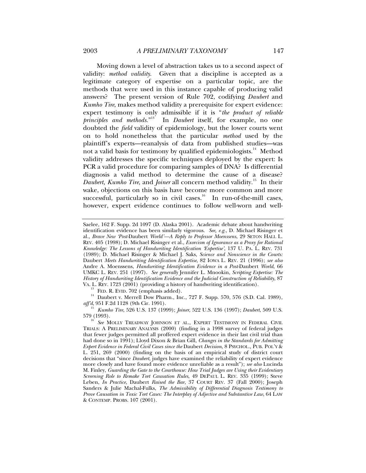Moving down a level of abstraction takes us to a second aspect of validity: *method validity*. Given that a discipline is accepted as a legitimate category of expertise on a particular topic, are the methods that were used in this instance capable of producing valid answers? The present version of Rule 702, codifying *Daubert* and *Kumho Tire*, makes method validity a prerequisite for expert evidence: expert testimony is only admissible if it is "*the product of reliable principles and methods.*" 13 In *Daubert* itself, for example, no one doubted the *field* validity of epidemiology, but the lower courts went on to hold nonetheless that the particular *method* used by the plaintiff's experts—reanalysis of data from published studies—was not a valid basis for testimony by qualified epidemiologists. $14$  Method validity addresses the specific techniques deployed by the expert: Is PCR a valid procedure for comparing samples of DNA? Is differential diagnosis a valid method to determine the cause of a disease? *Daubert, Kumho Tire*, and *Joiner* all concern method validity.15 In their wake, objections on this basis have become more common and more successful, particularly so in civil cases.<sup>16</sup> In run-of-the-mill cases, however, expert evidence continues to follow well-worn and well-

<sup>13</sup> FED. R. EVID. 702 (emphasis added).  $14$  Daubert v. Merrell Dow Pharm., Inc., 727 F. Supp. 570, 576 (S.D. Cal. 1989), *aff'd*, 951 F.2d 1128 (9th Cir. 1991).

<sup>15</sup> *Kumho Tire*, 526 U.S. 137 (1999); *Joiner*, 522 U.S. 136 (1997); *Daubert*, 509 U.S.

Saelee, 162 F. Supp. 2d 1097 (D. Alaska 2001). Academic debate about handwriting identification evidence has been similarly vigorous. *See, e.g.*, D. Michael Risinger et al., *Brave New 'Post-*Daubert *World'—A Reply to Professor Moenssens*, 29 SETON HALL L. REV. 405 (1998); D. Michael Risinger et al., *Exorcism of Ignorance as a Proxy for Rational Knowledge: The Lessons of Handwriting Identification 'Expertise'*, 137 U. PA. L. REV. 731 (1989); D. Michael Risinger & Michael J. Saks, *Science and Nonscience in the Courts:*  Daubert *Meets Handwriting Identification Expertise*, 82 IOWA L. REV. 21 (1996); *see also* Andre A. Moenssens, *Handwriting Identification Evidence in a Post-*Daubert *World*, 66 UMKC L. REV. 251 (1997). *See generally* Jennifer L. Mnookin, *Scripting Expertise: The History of Handwriting Identification Evidence and the Judicial Construction of Reliability*, 87 VA. L. REV. 1723 (2001) (providing a history of handwriting identification).

See MOLLY TREADWAY JOHNSON ET AL., EXPERT TESTIMONY IN FEDERAL CIVIL TRIALS: A PRELIMINARY ANALYSIS (2000) (finding in a 1998 survey of federal judges that fewer judges permitted all proffered expert evidence in their last civil trial than had done so in 1991); Lloyd Dixon & Brian Gill, *Changes in the Standards for Admitting Expert Evidence in Federal Civil Cases since the* Daubert *Decision*, 8 PSYCHOL., PUB. POL'Y & L. 251, 269 (2000) (finding on the basis of an empirical study of district court decisions that "since *Daubert*, judges have examined the reliability of expert evidence more closely and have found more evidence unreliable as a result"); *see also* Lucinda M. Finley, *Guarding the Gate to the Courthouse: How Trial Judges are Using their Evidentiary Screening Role to Remake Tort Causation Rules*, 49 DEPAUL L. REV. 335 (1999); Steve Leben, *In Practice,* Daubert *Raised the Bar*, 37 COURT REV. 37 (Fall 2000); Joseph Sanders & Julie Machal-Fulks, *The Admissibility of Differential Diagnosis Testimony to Prove Causation in Toxic Tort Cases: The Interplay of Adjective and Substantive Law*, 64 LAW & CONTEMP. PROBS. 107 (2001).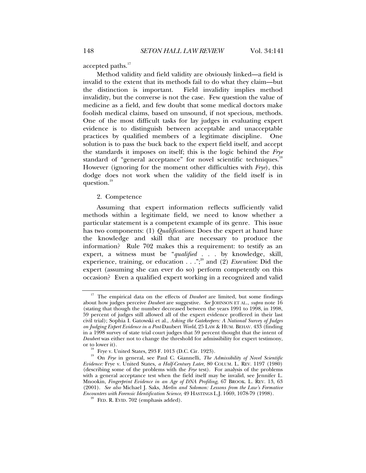accepted paths.<sup>17</sup>

Method validity and field validity are obviously linked—a field is invalid to the extent that its methods fail to do what they claim—but the distinction is important. Field invalidity implies method invalidity, but the converse is not the case. Few question the value of medicine as a field, and few doubt that some medical doctors make foolish medical claims, based on unsound, if not specious, methods. One of the most difficult tasks for lay judges in evaluating expert evidence is to distinguish between acceptable and unacceptable practices by qualified members of a legitimate discipline. One solution is to pass the buck back to the expert field itself, and accept the standards it imposes on itself; this is the logic behind the *Frye* standard of "general acceptance" for novel scientific techniques.<sup>18</sup> However (ignoring for the moment other difficulties with *Frye*), this dodge does not work when the validity of the field itself is in question.<sup>19</sup>

## 2. Competence

Assuming that expert information reflects sufficiently valid methods within a legitimate field, we need to know whether a particular statement is a competent example of its genre. This issue has two components: (1) *Qualifications*: Does the expert at hand have the knowledge and skill that are necessary to produce the information? Rule 702 makes this a requirement: to testify as an expert, a witness must be "*qualified* . . . by knowledge, skill, experience, training, or education . . . ";<sup>20</sup> and (2) *Execution*: Did the expert (assuming she can ever do so) perform competently on this occasion? Even a qualified expert working in a recognized and valid

<sup>&</sup>lt;sup>17</sup> The empirical data on the effects of *Daubert* are limited, but some findings about how judges perceive *Daubert* are suggestive. *See* JOHNSON ET AL., *supra* note 16 (stating that though the number decreased between the years 1991 to 1998, in 1998, 59 percent of judges still allowed all of the expert evidence proffered in their last civil trial); Sophia I. Gatowski et al., *Asking the Gatekeepers: A National Survey of Judges on Judging Expert Evidence in a Post-*Daubert *World*, 25 LAW & HUM. BEHAV. 433 (finding in a 1998 survey of state trial court judges that 59 percent thought that the intent of *Daubert* was either not to change the threshold for admissibility for expert testimony, or to lower it).

Frye v. United States, 293 F. 1013 (D.C. Cir. 1923).

<sup>&</sup>lt;sup>19</sup> On *Frye* in general, see Paul C. Giannelli, *The Admissibility of Novel Scientific Evidence:* Frye v. United States*, a Half-Century Later*, 80 COLUM. L. REV. 1197 (1980) (describing some of the problems with the *Frye* test). For analysis of the problems with a general acceptance test when the field itself may be invalid, see Jennifer L. Mnookin, *Fingerprint Evidence in an Age of DNA Profiling*, 67 BROOK. L. REV. 13, 63 (2001). *See also* Michael J. Saks, *Merlin and Solomon: Lessons from the Law's Formative Encounters with Forensic Identification Science*, 49 HASTINGS L.J. 1069, 1078-79 (1998).<br><sup>20</sup> FED. R. EVID. 702 (emphasis added).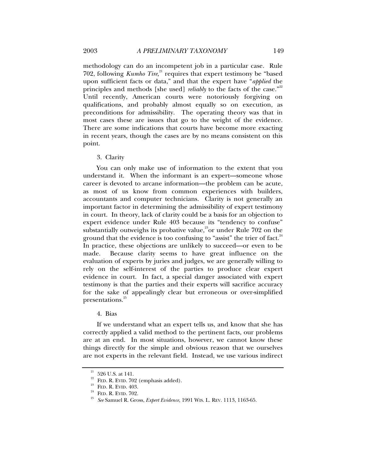methodology can do an incompetent job in a particular case. Rule 702, following *Kumho Tire*,<sup>21</sup> requires that expert testimony be "based upon sufficient facts or data," and that the expert have "*applied* the principles and methods [she used] *reliably* to the facts of the case."<sup>22</sup> Until recently, American courts were notoriously forgiving on qualifications, and probably almost equally so on execution, as preconditions for admissibility. The operating theory was that in most cases these are issues that go to the weight of the evidence. There are some indications that courts have become more exacting in recent years, though the cases are by no means consistent on this point.

3. Clarity

You can only make use of information to the extent that you understand it. When the informant is an expert—someone whose career is devoted to arcane information—the problem can be acute, as most of us know from common experiences with builders, accountants and computer technicians. Clarity is not generally an important factor in determining the admissibility of expert testimony in court. In theory, lack of clarity could be a basis for an objection to expert evidence under Rule 403 because its "tendency to confuse" substantially outweighs its probative value,<sup>23</sup> or under Rule  $702$  on the ground that the evidence is too confusing to "assist" the trier of fact. $24$ In practice, these objections are unlikely to succeed—or even to be made. Because clarity seems to have great influence on the evaluation of experts by juries and judges, we are generally willing to rely on the self-interest of the parties to produce clear expert evidence in court. In fact, a special danger associated with expert testimony is that the parties and their experts will sacrifice accuracy for the sake of appealingly clear but erroneous or over-simplified presentations.<sup>25</sup>

4. Bias

If we understand what an expert tells us, and know that she has correctly applied a valid method to the pertinent facts, our problems are at an end. In most situations, however, we cannot know these things directly for the simple and obvious reason that we ourselves are not experts in the relevant field. Instead, we use various indirect

 $\overset{\text{21}}{_{22}}$  526 U.S. at 141. FED. R. EVID. 702 (emphasis added).

<sup>&</sup>lt;sup>23</sup> FED. R. EVID. 403. <sup>24</sup> FED. R. EVID. 702.<br><sup>24</sup> FED. R. EVID. 702. 25 *See* Samuel R. Gross, *Expert Evidence*, 1991 WIS. L. REV. 1113, 1163-65.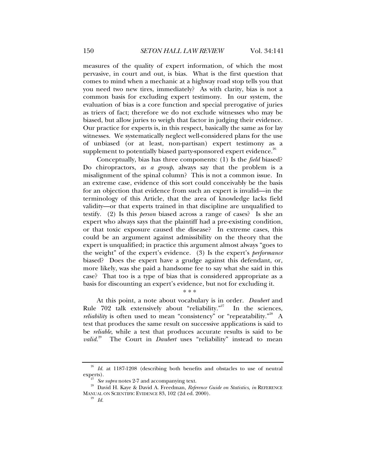measures of the quality of expert information, of which the most pervasive, in court and out, is bias. What is the first question that comes to mind when a mechanic at a highway road stop tells you that you need two new tires, immediately? As with clarity, bias is not a common basis for excluding expert testimony. In our system, the evaluation of bias is a core function and special prerogative of juries as triers of fact; therefore we do not exclude witnesses who may be biased, but allow juries to weigh that factor in judging their evidence. Our practice for experts is, in this respect, basically the same as for lay witnesses. We systematically neglect well-considered plans for the use of unbiased (or at least, non-partisan) expert testimony as a supplement to potentially biased party-sponsored expert evidence.<sup>26</sup>

Conceptually, bias has three components: (1) Is the *field* biased? Do chiropractors, *as a group*, always say that the problem is a misalignment of the spinal column? This is not a common issue. In an extreme case, evidence of this sort could conceivably be the basis for an objection that evidence from such an expert is invalid—in the terminology of this Article, that the area of knowledge lacks field validity—or that experts trained in that discipline are unqualified to testify. (2) Is this *person* biased across a range of cases? Is she an expert who always says that the plaintiff had a pre-existing condition, or that toxic exposure caused the disease? In extreme cases, this could be an argument against admissibility on the theory that the expert is unqualified; in practice this argument almost always "goes to the weight" of the expert's evidence. (3) Is the expert's *performance* biased? Does the expert have a grudge against this defendant, or, more likely, was she paid a handsome fee to say what she said in this case? That too is a type of bias that is considered appropriate as a basis for discounting an expert's evidence, but not for excluding it.

\* \* \*

At this point, a note about vocabulary is in order. *Daubert* and Rule  $702$  talk extensively about "reliability."<sup>27</sup> In the sciences, *reliability* is often used to mean "consistency" or "repeatability."<sup>28</sup> A test that produces the same result on successive applications is said to be *reliable*, while a test that produces accurate results is said to be *valid.*<sup>29</sup> The Court in *Daubert* uses "reliability" instead to mean

<sup>&</sup>lt;sup>26</sup> Id. at 1187-1208 (describing both benefits and obstacles to use of neutral

experts).<br><sup>27</sup> See *supra* notes 2-7 and accompanying text.<br><sup>28</sup> David H. Kaye & David A. Freedman, *Reference Guide on Statistics*, *in* REFERENCE MANUAL ON SCIENTIFIC EVIDENCE 83, 102 (2d ed. 2000). 29 *Id.*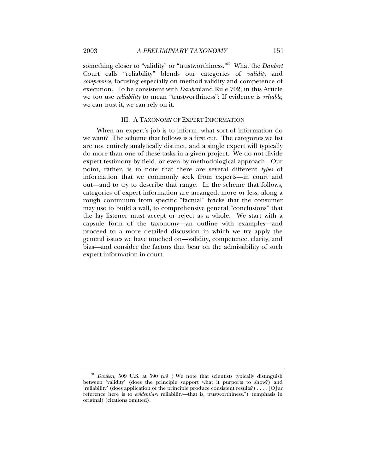something closer to "validity" or "trustworthiness."30 What the *Daubert* Court calls "reliability" blends our categories of *validity* and *competence*, focusing especially on method validity and competence of execution. To be consistent with *Daubert* and Rule 702, in this Article we too use *reliability* to mean "trustworthiness": If evidence is *reliable*, we can trust it, we can rely on it.

### III. A TAXONOMY OF EXPERT INFORMATION

When an expert's job is to inform, what sort of information do we want? The scheme that follows is a first cut. The categories we list are not entirely analytically distinct, and a single expert will typically do more than one of these tasks in a given project. We do not divide expert testimony by field, or even by methodological approach. Our point, rather, is to note that there are several different *types* of information that we commonly seek from experts—in court and out—and to try to describe that range. In the scheme that follows, categories of expert information are arranged, more or less, along a rough continuum from specific "factual" bricks that the consumer may use to build a wall, to comprehensive general "conclusions" that the lay listener must accept or reject as a whole. We start with a capsule form of the taxonomy—an outline with examples—and proceed to a more detailed discussion in which we try apply the general issues we have touched on—validity, competence, clarity, and bias—and consider the factors that bear on the admissibility of such expert information in court.

<sup>30</sup> *Daubert*, 509 U.S. at 590 n.9 ("We note that scientists typically distinguish between 'validity' (does the principle support what it purports to show?) and 'reliability' (does application of the principle produce consistent results?) . . . . [O]ur reference here is to *evidentiary* reliability—that is, trustworthiness.") (emphasis in original) (citations omitted).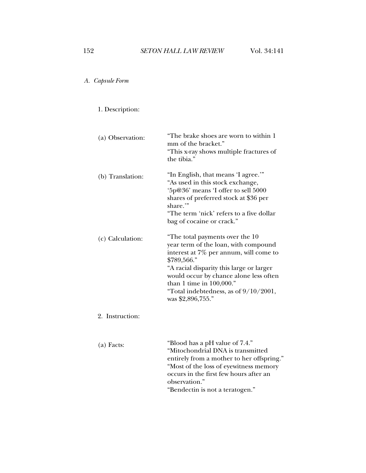# *A. Capsule Form*

# 1. Description:

| (a) Observation: | "The brake shoes are worn to within 1<br>mm of the bracket."<br>"This x-ray shows multiple fractures of<br>the tibia."                                                                                                                                                                                                |
|------------------|-----------------------------------------------------------------------------------------------------------------------------------------------------------------------------------------------------------------------------------------------------------------------------------------------------------------------|
| (b) Translation: | "In English, that means 'I agree."<br>"As used in this stock exchange,<br>'5p@36' means 'I offer to sell 5000<br>shares of preferred stock at \$36 per<br>share.'"<br>"The term 'nick' refers to a five dollar<br>bag of cocaine or crack."                                                                           |
| (c) Calculation: | "The total payments over the 10<br>year term of the loan, with compound<br>interest at 7% per annum, will come to<br>\$789,566."<br>"A racial disparity this large or larger<br>would occur by chance alone less often<br>than 1 time in $100,000."$<br>"Total indebtedness, as of $9/10/2001$ ,<br>was \$2,896,755." |
| 2. Instruction:  |                                                                                                                                                                                                                                                                                                                       |
| $(a)$ Facts:     | "Blood has a pH value of 7.4."<br>"Mitochondrial DNA is transmitted<br>entirely from a mother to her offspring."                                                                                                                                                                                                      |

observation."

"Most of the loss of eyewitness memory occurs in the first few hours after an

"Bendectin is not a teratogen."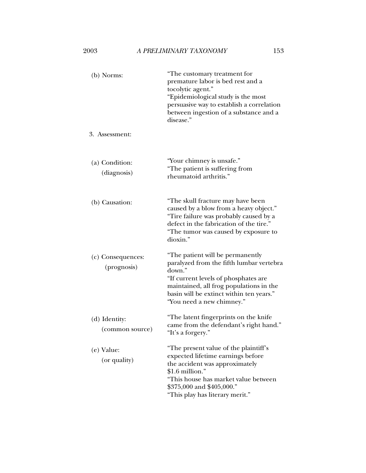| (b) Norms:                       | "The customary treatment for<br>premature labor is bed rest and a<br>tocolytic agent."<br>"Epidemiological study is the most<br>persuasive way to establish a correlation<br>between ingestion of a substance and a<br>disease."                   |
|----------------------------------|----------------------------------------------------------------------------------------------------------------------------------------------------------------------------------------------------------------------------------------------------|
| 3. Assessment:                   |                                                                                                                                                                                                                                                    |
| (a) Condition:<br>(diagnosis)    | "Your chimney is unsafe."<br>"The patient is suffering from<br>rheumatoid arthritis."                                                                                                                                                              |
| (b) Causation:                   | "The skull fracture may have been<br>caused by a blow from a heavy object."<br>"Tire failure was probably caused by a<br>defect in the fabrication of the tire."<br>"The tumor was caused by exposure to<br>dioxin."                               |
| (c) Consequences:<br>(prognosis) | "The patient will be permanently<br>paralyzed from the fifth lumbar vertebra<br>down."<br>"If current levels of phosphates are<br>maintained, all frog populations in the<br>basin will be extinct within ten years."<br>"You need a new chimney." |
| (d) Identity:<br>(common source) | "The latent fingerprints on the knife<br>came from the defendant's right hand."<br>"It's a forgery."                                                                                                                                               |
| (e) Value:<br>(or quality)       | "The present value of the plaintiff's<br>expected lifetime earnings before<br>the accident was approximately<br>$$1.6$ million."<br>"This house has market value between<br>\$375,000 and \$405,000."<br>"This play has literary merit."           |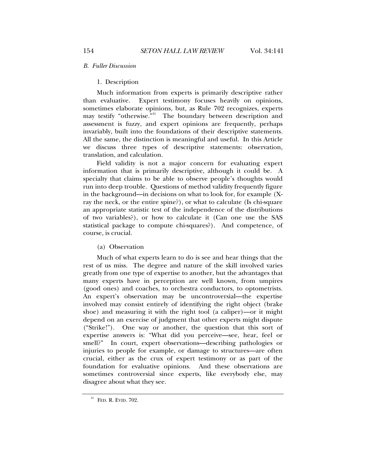### *B. Fuller Discussion*

# 1. Description

Much information from experts is primarily descriptive rather than evaluative. Expert testimony focuses heavily on opinions, sometimes elaborate opinions, but, as Rule 702 recognizes, experts may testify "otherwise."<sup>31</sup> The boundary between description and assessment is fuzzy, and expert opinions are frequently, perhaps invariably, built into the foundations of their descriptive statements. All the same, the distinction is meaningful and useful. In this Article we discuss three types of descriptive statements: observation, translation, and calculation.

Field validity is not a major concern for evaluating expert information that is primarily descriptive, although it could be. A specialty that claims to be able to observe people's thoughts would run into deep trouble. Questions of method validity frequently figure in the background—in decisions on what to look for, for example (Xray the neck, or the entire spine?), or what to calculate (Is chi-square an appropriate statistic test of the independence of the distributions of two variables?), or how to calculate it (Can one use the SAS statistical package to compute chi-squares?). And competence, of course, is crucial.

(a) Observation

Much of what experts learn to do is see and hear things that the rest of us miss. The degree and nature of the skill involved varies greatly from one type of expertise to another, but the advantages that many experts have in perception are well known, from umpires (good ones) and coaches, to orchestra conductors, to optometrists. An expert's observation may be uncontroversial—the expertise involved may consist entirely of identifying the right object (brake shoe) and measuring it with the right tool (a caliper)—or it might depend on an exercise of judgment that other experts might dispute ("Strike!"). One way or another, the question that this sort of expertise answers is: "What did you perceive—see, hear, feel or smell?" In court, expert observations—describing pathologies or injuries to people for example, or damage to structures—are often crucial, either as the crux of expert testimony or as part of the foundation for evaluative opinions. And these observations are sometimes controversial since experts, like everybody else, may disagree about what they see.

 $31$  FED. R. EVID.  $702$ .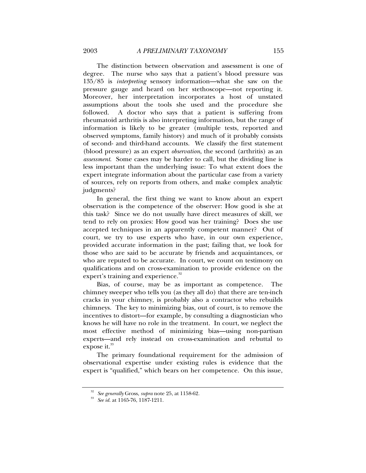The distinction between observation and assessment is one of degree. The nurse who says that a patient's blood pressure was 135/85 is *interpreting* sensory information—what she saw on the pressure gauge and heard on her stethoscope—not reporting it. Moreover, her interpretation incorporates a host of unstated assumptions about the tools she used and the procedure she followed. A doctor who says that a patient is suffering from rheumatoid arthritis is also interpreting information, but the range of information is likely to be greater (multiple tests, reported and observed symptoms, family history) and much of it probably consists of second- and third-hand accounts. We classify the first statement (blood pressure) as an expert *observation*, the second (arthritis) as an *assessment*. Some cases may be harder to call, but the dividing line is less important than the underlying issue: To what extent does the expert integrate information about the particular case from a variety of sources, rely on reports from others, and make complex analytic judgments?

In general, the first thing we want to know about an expert observation is the competence of the observer: How good is she at this task? Since we do not usually have direct measures of skill, we tend to rely on proxies: How good was her training? Does she use accepted techniques in an apparently competent manner? Out of court, we try to use experts who have, in our own experience, provided accurate information in the past; failing that, we look for those who are said to be accurate by friends and acquaintances, or who are reputed to be accurate. In court, we count on testimony on qualifications and on cross-examination to provide evidence on the expert's training and experience.<sup>32</sup>

Bias, of course, may be as important as competence. The chimney sweeper who tells you (as they all do) that there are ten-inch cracks in your chimney, is probably also a contractor who rebuilds chimneys. The key to minimizing bias, out of court, is to remove the incentives to distort—for example, by consulting a diagnostician who knows he will have no role in the treatment. In court, we neglect the most effective method of minimizing bias—using non-partisan experts—and rely instead on cross-examination and rebuttal to expose it. $33$ 

The primary foundational requirement for the admission of observational expertise under existing rules is evidence that the expert is "qualified," which bears on her competence. On this issue,

<sup>32</sup> *See generally* Gross, *supra* note 25, at 1158-62. 33 *See id.* at 1165-76, 1187-1211.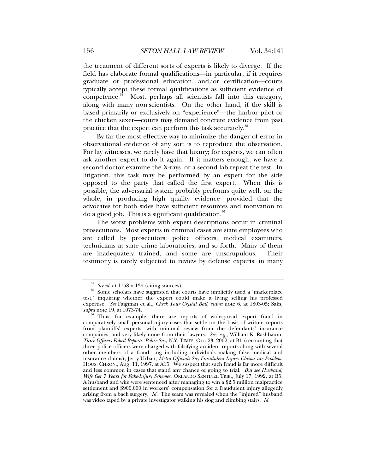the treatment of different sorts of experts is likely to diverge. If the field has elaborate formal qualifications—in particular, if it requires graduate or professional education, and/or certification—courts typically accept these formal qualifications as sufficient evidence of competence. $34$  Most, perhaps all scientists fall into this category, along with many non-scientists. On the other hand, if the skill is based primarily or exclusively on "experience"—the harbor pilot or the chicken sexer—courts may demand concrete evidence from past practice that the expert can perform this task accurately.<sup>35</sup>

By far the most effective way to minimize the danger of error in observational evidence of any sort is to reproduce the observation. For lay witnesses, we rarely have that luxury; for experts, we can often ask another expert to do it again. If it matters enough, we have a second doctor examine the X-rays, or a second lab repeat the test. In litigation, this task may be performed by an expert for the side opposed to the party that called the first expert. When this is possible, the adversarial system probably performs quite well, on the whole, in producing high quality evidence—provided that the advocates for both sides have sufficient resources and motivation to do a good job. This is a significant qualification.<sup>36</sup>

The worst problems with expert descriptions occur in criminal prosecutions. Most experts in criminal cases are state employees who are called by prosecutors: police officers, medical examiners, technicians at state crime laboratories, and so forth. Many of them are inadequately trained, and some are unscrupulous. Their testimony is rarely subjected to review by defense experts; in many

<sup>&</sup>lt;sup>34</sup> See *id.* at 1158 n.139 (citing sources).<br><sup>35</sup> Some scholars have suggested that courts have implicitly used a 'marketplace test,' inquiring whether the expert could make a living selling his professed expertise. *See* Faigman et al., *Check Your Crystal Ball*, *supra* note 6, at 1803-05; Saks, *supra* note 19, at 1073-74.<br><sup>36</sup> Thus, for example, there are reports of widespread expert fraud in

comparatively small personal injury cases that settle on the basis of written reports from plaintiffs' experts, with minimal review from the defendants' insurance companies, and very likely none from their lawyers. *See, e.g.*, William K. Rashbaum, *Three Officers Faked Reports, Police Say*, N.Y. TIMES, Oct. 23, 2002, at B1 (recounting that three police officers were charged with falsifying accident reports along with several other members of a fraud ring including individuals making false medical and insurance claims); Jerry Urban, *Metro Officials Say Fraudulent Injury Claims are Problem*, HOUS. CHRON., Aug. 11, 1997, at A15. We suspect that such fraud is far more difficult and less common in cases that stand any chance of going to trial. *But see Husband, Wife Get 7 Years for Fake-Injury Schemes*, ORLANDO SENTINEL TRIB., July 17, 1992, at B5. A husband and wife were sentenced after managing to win a \$2.5 million malpractice settlement and \$900,000 in workers' compensation for a fraudulent injury allegedly arising from a back surgery. *Id.* The scam was revealed when the "injured" husband was video taped by a private investigator walking his dog and climbing stairs. *Id.*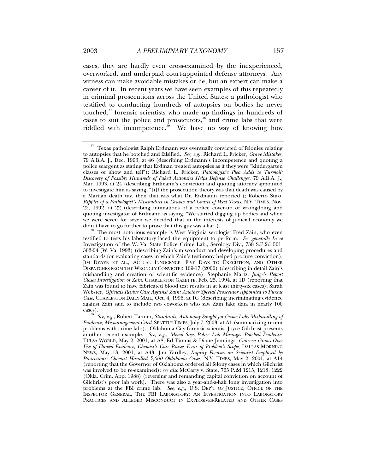cases, they are hardly even cross-examined by the inexperienced, overworked, and underpaid court-appointed defense attorneys. Any witness can make avoidable mistakes or lie, but an expert can make a career of it. In recent years we have seen examples of this repeatedly in criminal prosecutions across the United States: a pathologist who testified to conducting hundreds of autopsies on bodies he never touched,<sup>37</sup> forensic scientists who made up findings in hundreds of cases to suit the police and prosecutors, $\frac{38}{3}$  and crime labs that were riddled with incompetence.<sup>39</sup> We have no way of knowing how

*Evidence; Mismanagement Cited*, SEATTLE TIMES, July 7, 2003, at A1 (summarizing recent problems with crime labs). Oklahoma City forensic scientist Joyce Gilchrist presents another recent example. *See, e.g.*, *Memo Says Police Lab Manager Botched Evidence*, TULSA WORLD, May 2, 2001, at A8; Ed Timms & Diane Jennings, *Concern Grows Over Use of Flawed Evidence; Chemist's Case Raises Fears of Problem's Scope*, DALLAS MORNING NEWS, May 13, 2001, at A43; Jim Yardley, *Inquiry Focuses on Scientist Employed by Prosecutors: Chemist Handled 5,000 Oklahoma Cases*, N.Y. TIMES, May 2, 2001, at A14 (reporting that the Governor of Oklahoma ordered all felony cases in which Gilchrist was involved to be re-examined); *see also* McCarty v. State, 765 P.2d 1215, 1218, 1222 (Okla. Crim. App. 1988) (reversing and remanding capital conviction on account of Gilchrist's poor lab work). There was also a year-and-a-half long investigation into problems at the FBI crime lab. *See, e.g.*, U.S. DEP'T OF JUSTICE, OFFICE OF THE INSPECTOR GENERAL, THE FBI LABORATORY: AN INVESTIGATION INTO LABORATORY PRACTICES AND ALLEGED MISCONDUCT IN EXPLOSIVES-RELATED AND OTHER CASES

 $^\mathrm{37}$  Texas pathologist Ralph Erdmann was eventually convicted of felonies relating to autopsies that he botched and falsified. *See, e.g.*, Richard L. Fricker, *Grave Mistakes*, 79 A.B.A. J., Dec. 1993, at 46 (describing Erdmann's incompetence and quoting a police seargent as stating that Erdman treated autopsies as if they were "kindergarten classes or show and tell"); Richard L. Fricker, *Pathologist's Plea Adds to Turmoil: Discovery of Possibly Hundreds of Faked Autopsies Helps Defense Challenges*, 79 A.B.A. J., Mar. 1993, at 24 (describing Erdmann's conviction and quoting attorney appointed to investigate him as saying, "[i]f the prosecution theory was that death was caused by a Martian death ray, then that was what Dr. Erdmann reported"); Roberto Suro, *Ripples of a Pathologist's Misconduct in Graves and Courts of West Texas*, N.Y. TIMES, Nov. 22, 1992, at 22 (describing intimations of a police cover-up of wrongdoing and quoting investigator of Erdmann as saying, "We started digging up bodies and when we were seven for seven we decided that in the interests of judicial economy we didn't have to go further to prove that this guy was a liar").

The most notorious example is West Virginia serologist Fred Zain, who even testified to tests his laboratory laced the equipment to perform. *See generally In re* Investigation of the W. Va. State Police Crime Lab., Serology Div., 738 S.E.2d 501, 503-04 (W. Va. 1993) (describing Zain's misconduct and developing procedures and standards for evaluating cases in which Zain's testimony helped procure conviction); JIM DWYER ET AL., ACTUAL INNOCENCE: FIVE DAYS TO EXECUTION, AND OTHER DISPATCHES FROM THE WRONGLY CONVICTED 109-17 (2000) (describing in detail Zain's mishandling and creation of scientific evidence); Stephanie Martz, *Judge's Report Closes Investigation of Zain*, CHARLESTON GAZETTE, Feb. 25, 1994, at 1D (reporting that Zain was found to have fabricated blood test results in at least thirty-six cases); Sarah Webster, *Officials Revive Case Against Zain: Another Special Prosecutor Appointed to Pursue Case*, CHARLESTON DAILY MAIL, Oct. 4, 1996, at 1C (describing incriminating evidence against Zain said to include two coworkers who saw Zain fake data in nearly 100 cases). 39 *See, e.g.*, Robert Tanner, *Standards, Autonomy Sought for Crime Labs Mishandling of*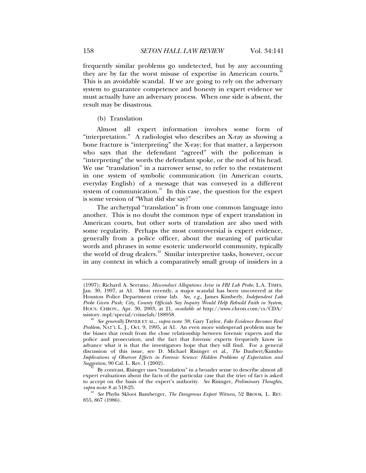frequently similar problems go undetected, but by any accounting they are by far the worst misuse of expertise in American courts.<sup>41</sup> This is an avoidable scandal. If we are going to rely on the adversary system to guarantee competence and honesty in expert evidence we must actually have an adversary process. When one side is absent, the result may be disastrous.

(b) Translation

Almost all expert information involves some form of "interpretation." A radiologist who describes an X-ray as showing a bone fracture is "interpreting" the X-ray; for that matter, a layperson who says that the defendant "agreed" with the policeman is "interpreting" the words the defendant spoke, or the nod of his head. We use "translation" in a narrower sense, to refer to the restatement in one system of symbolic communication (in American courts, everyday English) of a message that was conveyed in a different system of communication. $41$  In this case, the question for the expert is some version of "What did she say?"

The archetypal "translation" is from one common language into another. This is no doubt the common type of expert translation in American courts, but other sorts of translation are also used with some regularity. Perhaps the most controversial is expert evidence, generally from a police officer, about the meaning of particular words and phrases in some esoteric underworld community, typically the world of drug dealers.<sup>42</sup> Similar interpretive tasks, however, occur in any context in which a comparatively small group of insiders in a

<sup>(1997);</sup> Richard A. Serrano, *Misconduct Allegations Arise in FBI Lab Probe*, L.A. TIMES, Jan. 30, 1997, at A1. Most recently, a major scandal has been uncovered at the Houston Police Department crime lab. *See, e.g.*, James Kimberly, *Independent Lab Probe Given Push; City, County Officials Say Inquiry Would Help Rebuild Faith in System*, HOUS. CHRON., Apr. 30, 2003, at 21, *available at* http://www.chron.com/cs/CDA/

ssistory. mpl/special/crimelab/188958. 40 *See generally* DWYER ET AL., *supra* note 38; Gary Taylor, *Fake Evidence Becomes Real Problem*, NAT'L L. J., Oct. 9, 1995, at A1. An even more widespread problem may be the biases that result from the close relationship between forensic experts and the police and prosecution, and the fact that forensic experts frequently know in advance what it is that the investigators hope that they will find. For a general discussion of this issue, see D. Michael Risinger et al., *The* Daubert*/*Kumho *Implications of Observer Effects in Forensic Science: Hidden Problems of Expectation and* 

By contrast, Risinger uses "translation" in a broader sense to describe almost all expert evaluations about the facts of the particular case that the trier of fact is asked to accept on the basis of the expert's authority. *See* Risinger, *Preliminary Thoughts*,

<sup>&</sup>lt;sup>42</sup> See Phylis Skloot Bamberger, *The Dangerous Expert Witness*, 52 BROOK. L. REV. 855, 867 (1986).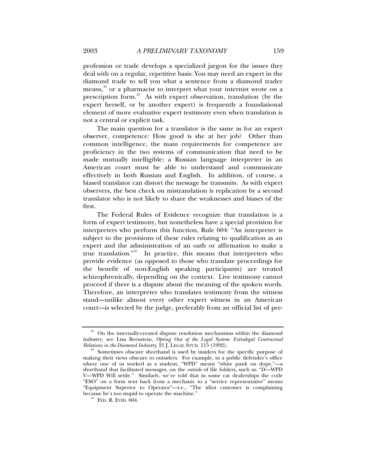profession or trade develops a specialized jargon for the issues they deal with on a regular, repetitive basis: You may need an expert in the diamond trade to tell you what a sentence from a diamond trader means,<sup>43</sup> or a pharmacist to interpret what your internist wrote on a prescription form.<sup>44</sup> As with expert observation, translation (by the expert herself, or by another expert) is frequently a foundational element of more evaluative expert testimony even when translation is not a central or explicit task.

The main question for a translator is the same as for an expert observer, competence: How good is she at her job? Other than common intelligence, the main requirements for competence are proficiency in the two systems of communication that need to be made mutually intelligible; a Russian language interpreter in an American court must be able to understand and communicate effectively in both Russian and English. In addition, of course, a biased translator can distort the message he transmits. As with expert observers, the best check on mistranslation is replication by a second translator who is not likely to share the weaknesses and biases of the first.

The Federal Rules of Evidence recognize that translation is a form of expert testimony, but nonetheless have a special provision for interpreters who perform this function, Rule 604: "An interpreter is subject to the provisions of these rules relating to qualification as an expert and the administration of an oath or affirmation to make a true translation."45 In practice, this means that interpreters who provide evidence (as opposed to those who translate proceedings for the benefit of non-English speaking participants) are treated schizophrenically, depending on the context. Live testimony cannot proceed if there is a dispute about the meaning of the spoken words. Therefore, an interpreter who translates testimony from the witness stand—unlike almost every other expert witness in an American court—is selected by the judge, preferably from an official list of pre-

<sup>&</sup>lt;sup>43</sup> On the internally-created dispute resolution mechanisms within the diamond industry, see Lisa Bernstein, *Opting Out of the Legal System: Extralegal Contractual* 

<sup>&</sup>lt;sup>44</sup> Sometimes obscure shorthand is used by insiders for the specific purpose of making their views obscure to outsiders. For example, in a public defender's office where one of us worked as a student, "WPD" meant "white punk on dope,"-a shorthand that facilitated messages, on the *outside* of file folders, such as: "D—WPD V—WPD Will settle." Similarly, we're told that in some car dealerships the code "ESO" on a form sent back from a mechanic to a "service representative" means "Equipment Superior to Operator"—i.e*.*, "The idiot customer is complaining because he's too stupid to operate the machine." 45 FED. R. EVID. 604.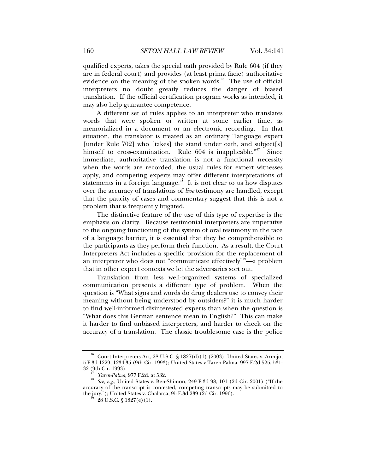qualified experts, takes the special oath provided by Rule 604 (if they are in federal court) and provides (at least prima facie) authoritative evidence on the meaning of the spoken words. $46$  The use of official interpreters no doubt greatly reduces the danger of biased translation. If the official certification program works as intended, it may also help guarantee competence.

A different set of rules applies to an interpreter who translates words that were spoken or written at some earlier time, as memorialized in a document or an electronic recording. In that situation, the translator is treated as an ordinary "language expert [under Rule 702] who [takes] the stand under oath, and subject[s] himself to cross-examination. Rule 604 is inapplicable."<sup>47</sup> Since immediate, authoritative translation is not a functional necessity when the words are recorded, the usual rules for expert witnesses apply, and competing experts may offer different interpretations of statements in a foreign language.<sup> $48$ </sup> It is not clear to us how disputes over the accuracy of translations of *live* testimony are handled, except that the paucity of cases and commentary suggest that this is not a problem that is frequently litigated.

The distinctive feature of the use of this type of expertise is the emphasis on clarity. Because testimonial interpreters are imperative to the ongoing functioning of the system of oral testimony in the face of a language barrier, it is essential that they be comprehensible to the participants as they perform their function. As a result, the Court Interpreters Act includes a specific provision for the replacement of an interpreter who does not "communicate effectively"<sup>49</sup>—a problem that in other expert contexts we let the adversaries sort out.

Translation from less well-organized systems of specialized communication presents a different type of problem. When the question is "What signs and words do drug dealers use to convey their meaning without being understood by outsiders?" it is much harder to find well-informed disinterested experts than when the question is "What does this German sentence mean in English?" This can make it harder to find unbiased interpreters, and harder to check on the accuracy of a translation. The classic troublesome case is the police

Court Interpreters Act, 28 U.S.C. § 1827(d)(1) (2003); United States v. Armijo, 5 F.3d 1229, 1234-35 (9th Cir. 1993); United States v Taren-Palma, 997 F.2d 525, 531-

<sup>&</sup>lt;sup>47</sup> *Taren-Palma*, 977 F.2d. at 532.<br><sup>48</sup> *See, e.g.*, United States v. Ben-Shimon, 249 F.3d 98, 101 (2d Cir. 2001) ("If the accuracy of the transcript is contested, competing transcripts may be submitted to the jury."); United States v. Chalarca, 95 F.3d 239 (2d Cir. 1996).<br><sup>49</sup> 28 U.S.C. § 1827(e)(1).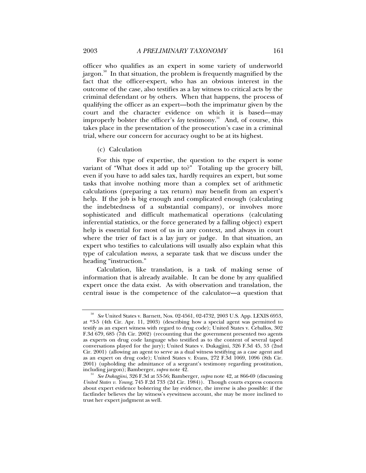officer who qualifies as an expert in some variety of underworld jargon.<sup>50</sup> In that situation, the problem is frequently magnified by the fact that the officer-expert, who has an obvious interest in the outcome of the case, also testifies as a lay witness to critical acts by the criminal defendant or by others. When that happens, the process of qualifying the officer as an expert—both the imprimatur given by the court and the character evidence on which it is based—may improperly bolster the officer's *lay* testimony.<sup>51</sup> And, of course, this takes place in the presentation of the prosecution's case in a criminal trial, where our concern for accuracy ought to be at its highest.

(c) Calculation

For this type of expertise, the question to the expert is some variant of "What does it add up to?" Totaling up the grocery bill, even if you have to add sales tax, hardly requires an expert, but some tasks that involve nothing more than a complex set of arithmetic calculations (preparing a tax return) may benefit from an expert's help. If the job is big enough and complicated enough (calculating the indebtedness of a substantial company), or involves more sophisticated and difficult mathematical operations (calculating inferential statistics, or the force generated by a falling object) expert help is essential for most of us in any context, and always in court where the trier of fact is a lay jury or judge. In that situation, an expert who testifies to calculations will usually also explain what this type of calculation *means*, a separate task that we discuss under the heading "instruction."

Calculation, like translation, is a task of making sense of information that is already available. It can be done by any qualified expert once the data exist. As with observation and translation, the central issue is the competence of the calculator—a question that

<sup>50</sup> *See* United States v. Barnett, Nos. 02-4561, 02-4732, 2003 U.S. App. LEXIS 6953, at \*3-5 (4th Cir. Apr. 11, 2003) (describing how a special agent was permitted to testify as an expert witness with regard to drug code); United States v. Ceballos, 302 F.3d 679, 685 (7th Cir. 2002) (recounting that the government presented two agents as experts on drug code language who testified as to the content of several taped conversations played for the jury); United States v. Dukagjini, 326 F.3d 45, 53 (2nd Cir. 2001) (allowing an agent to serve as a dual witness testifying as a case agent and as an expert on drug code); United States v. Evans, 272 F.3d 1069, 1096 (8th Cir. 2001) (upholding the admittance of a sergeant's testimony regarding prostitution, including jargon); Bamberger, *supra* note 42.

including jargon); Bamberger, *supra* note 42. 51 *See Dukagjini*, 326 F.3d at 53-56; Bamberger, *supra* note 42, at 866-69 (discussing *United States v. Young*, 745 F.2d 733 (2d Cir. 1984)). Though courts express concern about expert evidence bolstering the lay evidence, the inverse is also possible: if the factfinder believes the lay witness's eyewitness account, she may be more inclined to trust her expert judgment as well.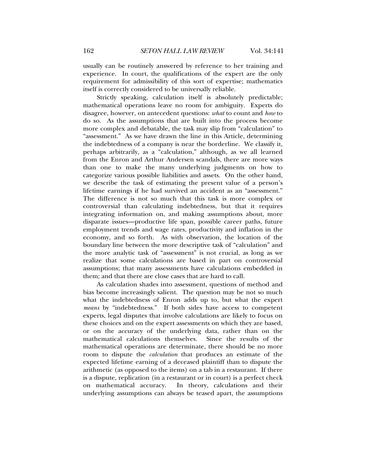usually can be routinely answered by reference to her training and experience. In court, the qualifications of the expert are the only requirement for admissibility of this sort of expertise; mathematics itself is correctly considered to be universally reliable.

Strictly speaking, calculation itself is absolutely predictable; mathematical operations leave no room for ambiguity. Experts do disagree, however, on antecedent questions: *what* to count and *how* to do so. As the assumptions that are built into the process become more complex and debatable, the task may slip from "calculation" to "assessment." As we have drawn the line in this Article, determining the indebtedness of a company is near the borderline. We classify it, perhaps arbitrarily, as a "calculation," although, as we all learned from the Enron and Arthur Andersen scandals, there are more ways than one to make the many underlying judgments on how to categorize various possible liabilities and assets. On the other hand, we describe the task of estimating the present value of a person's lifetime earnings if he had survived an accident as an "assessment." The difference is not so much that this task is more complex or controversial than calculating indebtedness, but that it requires integrating information on, and making assumptions about, more disparate issues—productive life span, possible career paths, future employment trends and wage rates, productivity and inflation in the economy, and so forth. As with observation, the location of the boundary line between the more descriptive task of "calculation" and the more analytic task of "assessment" is not crucial, as long as we realize that some calculations are based in part on controversial assumptions; that many assessments have calculations embedded in them; and that there are close cases that are hard to call.

As calculation shades into assessment, questions of method and bias become increasingly salient. The question may be not so much what the indebtedness of Enron adds up to, but what the expert *means* by "indebtedness." If both sides have access to competent experts, legal disputes that involve calculations are likely to focus on these choices and on the expert assessments on which they are based, or on the accuracy of the underlying data, rather than on the mathematical calculations themselves. Since the results of the mathematical operations are determinate, there should be no more room to dispute the *calculation* that produces an estimate of the expected lifetime earning of a deceased plaintiff than to dispute the arithmetic (as opposed to the items) on a tab in a restaurant. If there is a dispute, replication (in a restaurant or in court) is a perfect check on mathematical accuracy. In theory, calculations and their underlying assumptions can always be teased apart, the assumptions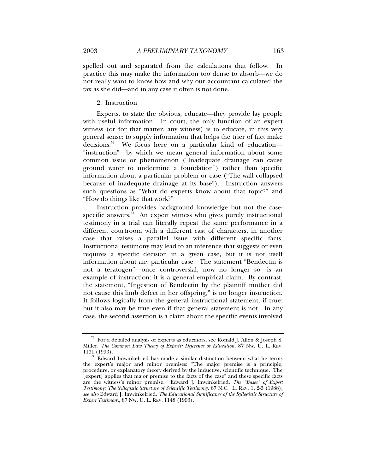spelled out and separated from the calculations that follow. In practice this may make the information too dense to absorb—we do not really want to know how and why our accountant calculated the tax as she did—and in any case it often is not done.

### 2. Instruction

Experts, to state the obvious, educate—they provide lay people with useful information. In court, the only function of an expert witness (or for that matter, any witness) is to educate, in this very general sense: to supply information that helps the trier of fact make decisions.<sup>52</sup> We focus here on a particular kind of education— "instruction"—by which we mean general information about some common issue or phenomenon ("Inadequate drainage can cause ground water to undermine a foundation") rather than specific information about a particular problem or case ("The wall collapsed because of inadequate drainage at its base"). Instruction answers such questions as "What do experts know about that topic?" and "How do things like that work?"

Instruction provides background knowledge but not the casespecific answers.<sup>53</sup> An expert witness who gives purely instructional testimony in a trial can literally repeat the same performance in a different courtroom with a different cast of characters, in another case that raises a parallel issue with different specific facts. Instructional testimony may lead to an inference that suggests or even requires a specific decision in a given case, but it is not itself information about any particular case. The statement "Bendectin is not a teratogen"—once controversial, now no longer so—is an example of instruction: it is a general empirical claim. By contrast, the statement, "Ingestion of Bendectin by the plaintiff mother did not cause this limb defect in her offspring," is no longer instruction. It follows logically from the general instructional statement, if true; but it also may be true even if that general statement is not. In any case, the second assertion is a claim about the specific events involved

 $52\,\,$  For a detailed analysis of experts as educators, see Ronald J. Allen & Joseph S. Miller, *The Common Law Theory of Experts: Deference or Education*, 87 NW. U. L. REV.

 $133$  Edward Imwinkelried has made a similar distinction between what he terms the expert's major and minor premises: "The major premise is a principle, procedure, or explanatory theory derived by the inductive, scientific technique. The [expert] applies that major premise to the facts of the case" and these specific facts are the witness's minor premise. Edward J. Imwinkelried, *The "Bases" of Expert Testimony: The Syllogistic Structure of Scientific Testimony*, 67 N.C. L. REV. 1, 2-3 (1988); *see also* Edward J. Imwinkelried, *The Educational Significance of the Syllogistic Structure of Expert Testimony*, 87 NW. U. L. REV. 1148 (1993).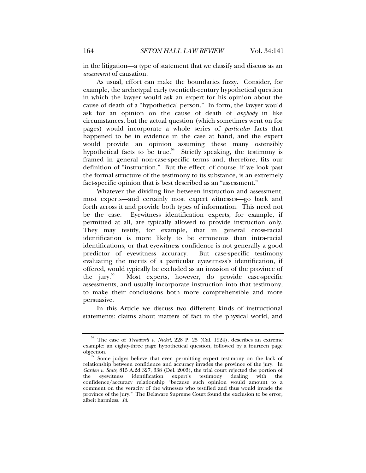in the litigation—a type of statement that we classify and discuss as an *assessment* of causation.

As usual, effort can make the boundaries fuzzy. Consider, for example, the archetypal early twentieth-century hypothetical question in which the lawyer would ask an expert for his opinion about the cause of death of a "hypothetical person." In form, the lawyer would ask for an opinion on the cause of death of *anybody* in like circumstances, but the actual question (which sometimes went on for pages) would incorporate a whole series of *particular* facts that happened to be in evidence in the case at hand, and the expert would provide an opinion assuming these many ostensibly hypothetical facts to be true.<sup>54</sup> Strictly speaking, the testimony is framed in general non-case-specific terms and, therefore, fits our definition of "instruction." But the effect, of course, if we look past the formal structure of the testimony to its substance, is an extremely fact-specific opinion that is best described as an "assessment."

Whatever the dividing line between instruction and assessment, most experts—and certainly most expert witnesses—go back and forth across it and provide both types of information. This need not be the case. Eyewitness identification experts, for example, if permitted at all, are typically allowed to provide instruction only. They may testify, for example, that in general cross-racial identification is more likely to be erroneous than intra-racial identifications, or that eyewitness confidence is not generally a good predictor of eyewitness accuracy. But case-specific testimony evaluating the merits of a particular eyewitness's identification, if offered, would typically be excluded as an invasion of the province of the jury.<sup>55</sup> Most experts, however, do provide case-specific assessments, and usually incorporate instruction into that testimony, to make their conclusions both more comprehensible and more persuasive.

In this Article we discuss two different kinds of instructional statements: claims about matters of fact in the physical world, and

<sup>54</sup> The case of *Treadwell v. Nickel*, 228 P. 25 (Cal. 1924), describes an extreme example: an eighty-three page hypothetical question, followed by a fourteen page objection. 55 Some judges believe that even permitting expert testimony on the lack of

relationship between confidence and accuracy invades the province of the jury. In *Garden v. State*, 815 A.2d 327, 338 (Del. 2003), the trial court rejected the portion of the eyewitness identification expert's testimony dealing with the confidence/accuracy relationship "because such opinion would amount to a comment on the veracity of the witnesses who testified and thus would invade the province of the jury." The Delaware Supreme Court found the exclusion to be error, albeit harmless. *Id.*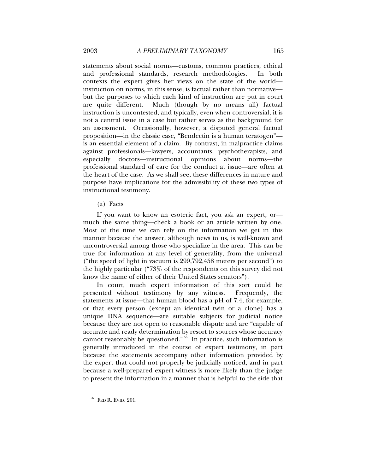statements about social norms—customs, common practices, ethical and professional standards, research methodologies. In both contexts the expert gives her views on the state of the world instruction on norms, in this sense, is factual rather than normative but the purposes to which each kind of instruction are put in court are quite different. Much (though by no means all) factual instruction is uncontested, and typically, even when controversial, it is not a central issue in a case but rather serves as the background for an assessment. Occasionally, however, a disputed general factual proposition—in the classic case, "Bendectin is a human teratogen" is an essential element of a claim. By contrast, in malpractice claims against professionals—lawyers, accountants, psychotherapists, and especially doctors—instructional opinions about norms—the professional standard of care for the conduct at issue—are often at the heart of the case. As we shall see, these differences in nature and purpose have implications for the admissibility of these two types of instructional testimony.

(a) Facts

If you want to know an esoteric fact, you ask an expert, or much the same thing—check a book or an article written by one. Most of the time we can rely on the information we get in this manner because the answer, although news to us, is well-known and uncontroversial among those who specialize in the area. This can be true for information at any level of generality, from the universal ("the speed of light in vacuum is 299,792,458 meters per second") to the highly particular ("73% of the respondents on this survey did not know the name of either of their United States senators").

In court, much expert information of this sort could be presented without testimony by any witness. Frequently, the statements at issue—that human blood has a pH of 7.4, for example, or that every person (except an identical twin or a clone) has a unique DNA sequence—are suitable subjects for judicial notice because they are not open to reasonable dispute and are "capable of accurate and ready determination by resort to sources whose accuracy cannot reasonably be questioned."<sup>56</sup> In practice, such information is generally introduced in the course of expert testimony, in part because the statements accompany other information provided by the expert that could not properly be judicially noticed, and in part because a well-prepared expert witness is more likely than the judge to present the information in a manner that is helpful to the side that

 $56$  FED R. EVID. 201.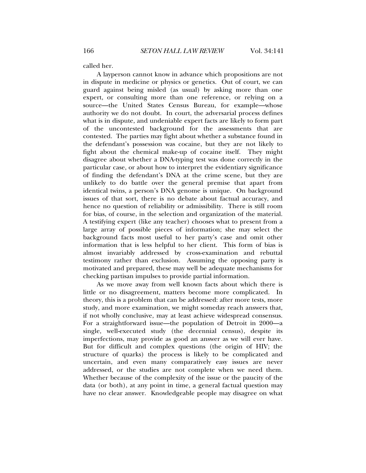called her.

A layperson cannot know in advance which propositions are not in dispute in medicine or physics or genetics. Out of court, we can guard against being misled (as usual) by asking more than one expert, or consulting more than one reference, or relying on a source—the United States Census Bureau, for example—whose authority we do not doubt. In court, the adversarial process defines what is in dispute, and undeniable expert facts are likely to form part of the uncontested background for the assessments that are contested. The parties may fight about whether a substance found in the defendant's possession was cocaine, but they are not likely to fight about the chemical make-up of cocaine itself. They might disagree about whether a DNA-typing test was done correctly in the particular case, or about how to interpret the evidentiary significance of finding the defendant's DNA at the crime scene, but they are unlikely to do battle over the general premise that apart from identical twins, a person's DNA genome is unique. On background issues of that sort, there is no debate about factual accuracy, and hence no question of reliability or admissibility. There is still room for bias, of course, in the selection and organization of the material. A testifying expert (like any teacher) chooses what to present from a large array of possible pieces of information; she may select the background facts most useful to her party's case and omit other information that is less helpful to her client. This form of bias is almost invariably addressed by cross-examination and rebuttal testimony rather than exclusion. Assuming the opposing party is motivated and prepared, these may well be adequate mechanisms for checking partisan impulses to provide partial information.

As we move away from well known facts about which there is little or no disagreement, matters become more complicated. In theory, this is a problem that can be addressed: after more tests, more study, and more examination, we might someday reach answers that, if not wholly conclusive, may at least achieve widespread consensus. For a straightforward issue—the population of Detroit in 2000—a single, well-executed study (the decennial census), despite its imperfections, may provide as good an answer as we will ever have. But for difficult and complex questions (the origin of HIV; the structure of quarks) the process is likely to be complicated and uncertain, and even many comparatively easy issues are never addressed, or the studies are not complete when we need them. Whether because of the complexity of the issue or the paucity of the data (or both), at any point in time, a general factual question may have no clear answer. Knowledgeable people may disagree on what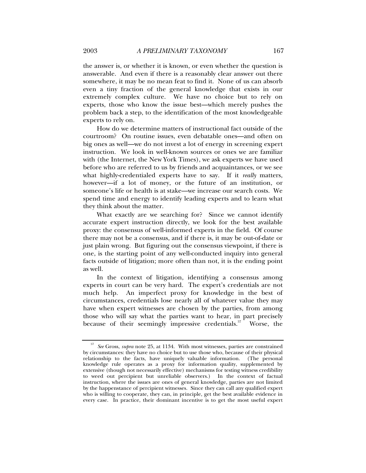the answer is, or whether it is known, or even whether the question is answerable. And even if there is a reasonably clear answer out there somewhere, it may be no mean feat to find it. None of us can absorb even a tiny fraction of the general knowledge that exists in our extremely complex culture. We have no choice but to rely on experts, those who know the issue best—which merely pushes the problem back a step, to the identification of the most knowledgeable experts to rely on.

How do we determine matters of instructional fact outside of the courtroom? On routine issues, even debatable ones—and often on big ones as well—we do not invest a lot of energy in screening expert instruction. We look in well-known sources or ones we are familiar with (the Internet, the New York Times), we ask experts we have used before who are referred to us by friends and acquaintances, or we see what highly-credentialed experts have to say. If it *really* matters, however—if a lot of money, or the future of an institution, or someone's life or health is at stake—we increase our search costs. We spend time and energy to identify leading experts and to learn what they think about the matter.

What exactly are we searching for? Since we cannot identify accurate expert instruction directly, we look for the best available proxy: the consensus of well-informed experts in the field. Of course there may not be a consensus, and if there is, it may be out-of-date or just plain wrong. But figuring out the consensus viewpoint, if there is one, is the starting point of any well-conducted inquiry into general facts outside of litigation; more often than not, it is the ending point as well.

In the context of litigation, identifying a consensus among experts in court can be very hard. The expert's credentials are not much help. An imperfect proxy for knowledge in the best of circumstances, credentials lose nearly all of whatever value they may have when expert witnesses are chosen by the parties, from among those who will say what the parties want to hear, in part precisely because of their seemingly impressive credentials.<sup>57</sup> Worse, the

<sup>57</sup> *See* Gross, *supra* note 25, at 1134. With most witnesses, parties are constrained by circumstances: they have no choice but to use those who, because of their physical relationship to the facts, have uniquely valuable information. (The personal knowledge rule operates as a proxy for information quality, supplemented by extensive (though not necessarily effective) mechanisms for testing witness credibility to weed out percipient but unreliable observers.) In the context of factual instruction, where the issues are ones of general knowledge, parties are not limited by the happenstance of percipient witnesses. Since they can call any qualified expert who is willing to cooperate, they can, in principle, get the best available evidence in every case. In practice, their dominant incentive is to get the most useful expert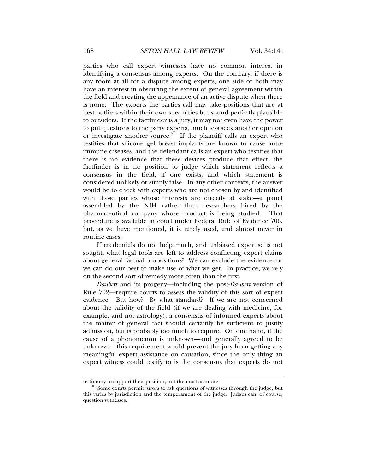parties who call expert witnesses have no common interest in identifying a consensus among experts. On the contrary, if there is any room at all for a dispute among experts, one side or both may have an interest in obscuring the extent of general agreement within the field and creating the appearance of an active dispute when there is none. The experts the parties call may take positions that are at best outliers within their own specialties but sound perfectly plausible to outsiders. If the factfinder is a jury, it may not even have the power to put questions to the party experts, much less seek another opinion or investigate another source.<sup>58</sup> If the plaintiff calls an expert who testifies that silicone gel breast implants are known to cause autoimmune diseases, and the defendant calls an expert who testifies that there is no evidence that these devices produce that effect, the factfinder is in no position to judge which statement reflects a consensus in the field, if one exists, and which statement is considered unlikely or simply false. In any other contexts, the answer would be to check with experts who are not chosen by and identified with those parties whose interests are directly at stake—a panel assembled by the NIH rather than researchers hired by the pharmaceutical company whose product is being studied. That procedure is available in court under Federal Rule of Evidence 706, but, as we have mentioned, it is rarely used, and almost never in routine cases.

If credentials do not help much, and unbiased expertise is not sought, what legal tools are left to address conflicting expert claims about general factual propositions? We can exclude the evidence, or we can do our best to make use of what we get. In practice, we rely on the second sort of remedy more often than the first.

*Daubert* and its progeny—including the post-*Daubert* version of Rule 702—require courts to assess the validity of this sort of expert evidence. But how? By what standard? If we are not concerned about the validity of the field (if we are dealing with medicine, for example, and not astrology), a consensus of informed experts about the matter of general fact should certainly be sufficient to justify admission, but is probably too much to require. On one hand, if the cause of a phenomenon is unknown—and generally agreed to be unknown—this requirement would prevent the jury from getting any meaningful expert assistance on causation, since the only thing an expert witness could testify to is the consensus that experts do not

testimony to support their position, not the most accurate.<br><sup>58</sup> Some courts permit jurors to ask questions of witnesses through the judge, but this varies by jurisdiction and the temperament of the judge. Judges can, of course, question witnesses.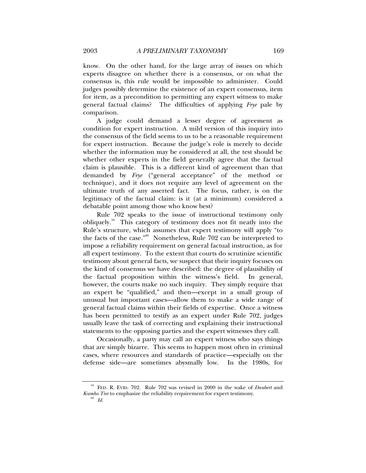know. On the other hand, for the large array of issues on which experts disagree on whether there is a consensus, or on what the consensus is, this rule would be impossible to administer. Could judges possibly determine the existence of an expert consensus, item for item, as a precondition to permitting any expert witness to make general factual claims? The difficulties of applying *Frye* pale by comparison.

A judge could demand a lesser degree of agreement as condition for expert instruction. A mild version of this inquiry into the consensus of the field seems to us to be a reasonable requirement for expert instruction. Because the judge's role is merely to decide whether the information may be considered at all, the test should be whether other experts in the field generally agree that the factual claim is plausible. This is a different kind of agreement than that demanded by *Frye* ("general acceptance" of the method or technique), and it does not require any level of agreement on the ultimate truth of any asserted fact. The focus, rather, is on the legitimacy of the factual claim: is it (at a minimum) considered a debatable point among those who know best?

Rule 702 speaks to the issue of instructional testimony only obliquely.59 This category of testimony does not fit neatly into the Rule's structure, which assumes that expert testimony will apply "to the facts of the case."60 Nonetheless, Rule 702 can be interpreted to impose a reliability requirement on general factual instruction, as for all expert testimony. To the extent that courts do scrutinize scientific testimony about general facts, we suspect that their inquiry focuses on the kind of consensus we have described: the degree of plausibility of the factual proposition within the witness's field. In general, however, the courts make no such inquiry. They simply require that an expert be "qualified," and then—except in a small group of unusual but important cases—allow them to make a wide range of general factual claims within their fields of expertise. Once a witness has been permitted to testify as an expert under Rule 702, judges usually leave the task of correcting and explaining their instructional statements to the opposing parties and the expert witnesses they call.

Occasionally, a party may call an expert witness who says things that are simply bizarre. This seems to happen most often in criminal cases, where resources and standards of practice—especially on the defense side—are sometimes abysmally low. In the 1980s, for

<sup>59</sup> FED. R. EVID. 702. Rule 702 was revised in 2000 in the wake of *Daubert* and  $Kumbo\,Tire$  to emphasize the reliability requirement for expert testimony.  $^{60}$   $_{Id}$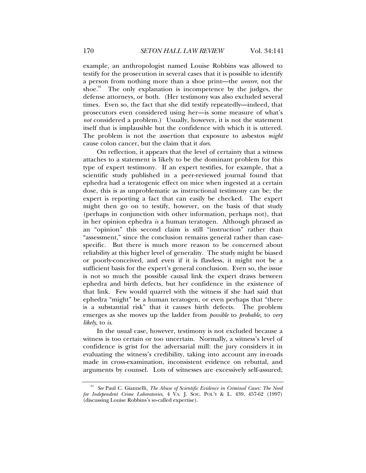example, an anthropologist named Louise Robbins was allowed to testify for the prosecution in several cases that it is possible to identify a person from nothing more than a shoe print—the *wearer*, not the shoe. $61$  The only explanation is incompetence by the judges, the defense attorneys, or both. (Her testimony was also excluded several times. Even so, the fact that she did testify repeatedly—indeed, that prosecutors even considered using her—is some measure of what's *not* considered a problem.) Usually, however, it is not the statement itself that is implausible but the confidence with which it is uttered. The problem is not the assertion that exposure to asbestos *might* cause colon cancer, but the claim that it *does*.

On reflection, it appears that the level of certainty that a witness attaches to a statement is likely to be the dominant problem for this type of expert testimony. If an expert testifies, for example, that a scientific study published in a peer-reviewed journal found that ephedra had a teratogenic effect on mice when ingested at a certain dose, this is as unproblematic as instructional testimony can be; the expert is reporting a fact that can easily be checked. The expert might then go on to testify, however, on the basis of that study (perhaps in conjunction with other information, perhaps not), that in her opinion ephedra *is* a human teratogen. Although phrased as an "opinion" this second claim is still "instruction" rather than "assessment," since the conclusion remains general rather than casespecific. But there is much more reason to be concerned about reliability at this higher level of generality. The study might be biased or poorly-conceived, and even if it is flawless, it might not be a sufficient basis for the expert's general conclusion. Even so, the issue is not so much the possible causal link the expert draws between ephedra and birth defects, but her confidence in the existence of that link. Few would quarrel with the witness if she had said that ephedra "might" be a human teratogen, or even perhaps that "there is a substantial risk" that it causes birth defects. The problem emerges as she moves up the ladder from *possible* to *probable*, to *very likely*, to *is*.

In the usual case, however, testimony is not excluded because a witness is too certain or too uncertain. Normally, a witness's level of confidence is grist for the adversarial mill: the jury considers it in evaluating the witness's credibility, taking into account any in-roads made in cross-examination, inconsistent evidence on rebuttal, and arguments by counsel. Lots of witnesses are excessively self-assured;

<sup>61</sup> *See* Paul C. Giannelli, *The Abuse of Scientific Evidence in Criminal Cases: The Need for Independent Crime Laboratories*, 4 VA. J. SOC. POL'Y & L. 439, 457-62 (1997) (discussing Louise Robbins's so-called expertise).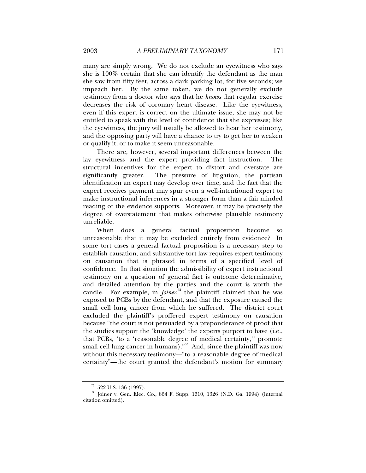many are simply wrong. We do not exclude an eyewitness who says she is 100% certain that she can identify the defendant as the man she saw from fifty feet, across a dark parking lot, for five seconds; we impeach her. By the same token, we do not generally exclude testimony from a doctor who says that he *knows* that regular exercise decreases the risk of coronary heart disease. Like the eyewitness, even if this expert is correct on the ultimate issue, she may not be entitled to speak with the level of confidence that she expresses; like the eyewitness, the jury will usually be allowed to hear her testimony, and the opposing party will have a chance to try to get her to weaken or qualify it, or to make it seem unreasonable.

There are, however, several important differences between the lay eyewitness and the expert providing fact instruction. The structural incentives for the expert to distort and overstate are significantly greater. The pressure of litigation, the partisan identification an expert may develop over time, and the fact that the expert receives payment may spur even a well-intentioned expert to make instructional inferences in a stronger form than a fair-minded reading of the evidence supports. Moreover, it may be precisely the degree of overstatement that makes otherwise plausible testimony unreliable.

When does a general factual proposition become so unreasonable that it may be excluded entirely from evidence? In some tort cases a general factual proposition is a necessary step to establish causation, and substantive tort law requires expert testimony on causation that is phrased in terms of a specified level of confidence. In that situation the admissibility of expert instructional testimony on a question of general fact is outcome determinative, and detailed attention by the parties and the court is worth the candle. For example, in *Joiner*,<sup>62</sup> the plaintiff claimed that he was exposed to PCBs by the defendant, and that the exposure caused the small cell lung cancer from which he suffered. The district court excluded the plaintiff's proffered expert testimony on causation because "the court is not persuaded by a preponderance of proof that the studies support the 'knowledge' the experts purport to have (i.e., that PCBs, 'to a 'reasonable degree of medical certainty,'' promote small cell lung cancer in humans)."<sup>63</sup> And, since the plaintiff was now without this necessary testimony—"to a reasonable degree of medical certainty"—the court granted the defendant's motion for summary

 $62$  522 U.S. 136 (1997).

<sup>63</sup> Joiner v. Gen. Elec. Co., 864 F. Supp. 1310, 1326 (N.D. Ga. 1994) (internal citation omitted).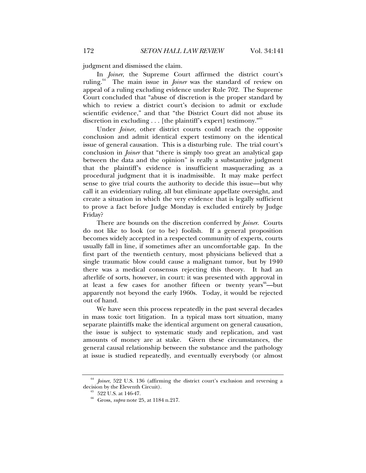judgment and dismissed the claim.

In *Joiner*, the Supreme Court affirmed the district court's ruling.<sup>64</sup> The main issue in *Joiner* was the standard of review on appeal of a ruling excluding evidence under Rule 702. The Supreme Court concluded that "abuse of discretion is the proper standard by which to review a district court's decision to admit or exclude scientific evidence," and that "the District Court did not abuse its discretion in excluding . . . [the plaintiff's expert] testimony."<sup>65</sup>

Under *Joiner*, other district courts could reach the opposite conclusion and admit identical expert testimony on the identical issue of general causation. This is a disturbing rule. The trial court's conclusion in *Joiner* that "there is simply too great an analytical gap between the data and the opinion" is really a substantive judgment that the plaintiff's evidence is insufficient masquerading as a procedural judgment that it is inadmissible. It may make perfect sense to give trial courts the authority to decide this issue—but why call it an evidentiary ruling, all but eliminate appellate oversight, and create a situation in which the very evidence that is legally sufficient to prove a fact before Judge Monday is excluded entirely by Judge Friday?

There are bounds on the discretion conferred by *Joiner*. Courts do not like to look (or to be) foolish. If a general proposition becomes widely accepted in a respected community of experts, courts usually fall in line, if sometimes after an uncomfortable gap. In the first part of the twentieth century, most physicians believed that a single traumatic blow could cause a malignant tumor, but by 1940 there was a medical consensus rejecting this theory. It had an afterlife of sorts, however, in court: it was presented with approval in at least a few cases for another fifteen or twenty years  $b^{\text{th}}$ —but apparently not beyond the early 1960s. Today, it would be rejected out of hand.

We have seen this process repeatedly in the past several decades in mass toxic tort litigation. In a typical mass tort situation, many separate plaintiffs make the identical argument on general causation, the issue is subject to systematic study and replication, and vast amounts of money are at stake. Given these circumstances, the general causal relationship between the substance and the pathology at issue is studied repeatedly, and eventually everybody (or almost

Joiner, 522 U.S. 136 (affirming the district court's exclusion and reversing a decision by the Eleventh Circuit).<br><sup>65</sup> 522 U.S. at 146-47.

<sup>66</sup> Gross, *supra* note 25, at 1184 n.217.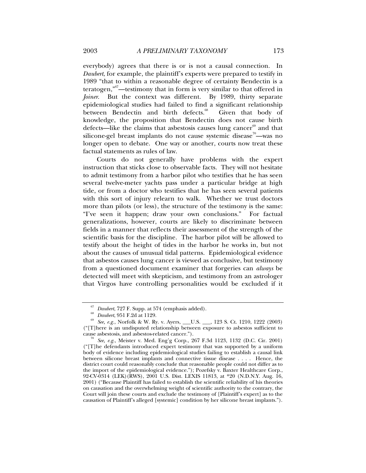everybody) agrees that there is or is not a causal connection. In *Daubert*, for example, the plaintiff's experts were prepared to testify in 1989 "that to within a reasonable degree of certainty Bendectin is a teratogen,"67—testimony that in form is very similar to that offered in *Joiner*. But the context was different. By 1989, thirty separate epidemiological studies had failed to find a significant relationship between Bendectin and birth defects.<sup>68</sup> Given that body of knowledge, the proposition that Bendectin does not cause birth defects—like the claims that asbestosis causes lung cancer $69$  and that silicone-gel breast implants do not cause systemic disease<sup>70</sup>—was no longer open to debate. One way or another, courts now treat these factual statements as rules of law.

Courts do not generally have problems with the expert instruction that sticks close to observable facts. They will not hesitate to admit testimony from a harbor pilot who testifies that he has seen several twelve-meter yachts pass under a particular bridge at high tide, or from a doctor who testifies that he has seen several patients with this sort of injury relearn to walk. Whether we trust doctors more than pilots (or less), the structure of the testimony is the same: "I've seen it happen; draw your own conclusions." For factual generalizations, however, courts are likely to discriminate between fields in a manner that reflects their assessment of the strength of the scientific basis for the discipline. The harbor pilot will be allowed to testify about the height of tides in the harbor he works in, but not about the causes of unusual tidal patterns. Epidemiological evidence that asbestos causes lung cancer is viewed as conclusive, but testimony from a questioned document examiner that forgeries can *always* be detected will meet with skepticism, and testimony from an astrologer that Virgos have controlling personalities would be excluded if it

<sup>&</sup>lt;sup>67</sup> Daubert, 727 F. Supp. at 574 (emphasis added).<br><sup>68</sup> *Daubert*, 951 F.2d at 1129.<br><sup>69</sup> *See, e.g.*, Norfolk & W. Ry. v. Ayers, \_\_\_U.S. \_\_\_, 123 S. Ct. 1210, 1222 (2003) ("[T]here is an undisputed relationship between exposure to asbestos sufficient to

<sup>&</sup>lt;sup>70</sup> See, e.g., Meister v. Med. Eng'g Corp., 267 F.3d 1123, 1132 (D.C. Cir. 2001) ("[T]he defendants introduced expert testimony that was supported by a uniform body of evidence including epidemiological studies failing to establish a causal link between silicone breast implants and connective tissue disease . . . . Hence, the district court could reasonably conclude that reasonable people could not differ as to the import of the epidemiological evidence."); Pozefsky v. Baxter Healthcare Corp., 92-CV-0314 (LEK)(RWS), 2001 U.S. Dist. LEXIS 11813, at \*20 (N.D.N.Y. Aug. 16, 2001) ("Because Plaintiff has failed to establish the scientific reliability of his theories on causation and the overwhelming weight of scientific authority to the contrary, the Court will join these courts and exclude the testimony of [Plaintiff's expert] as to the causation of Plaintiff's alleged [systemic] condition by her silicone breast implants.").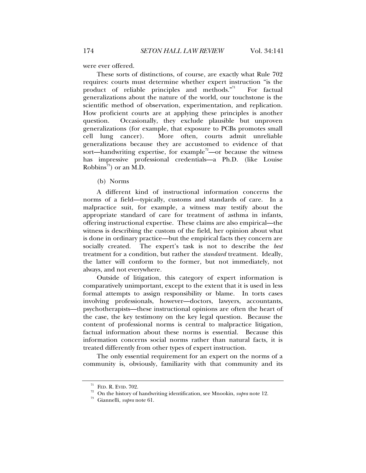were ever offered.

These sorts of distinctions, of course, are exactly what Rule 702 requires: courts must determine whether expert instruction "is the product of reliable principles and methods."<sup>71</sup> For factual generalizations about the nature of the world, our touchstone is the scientific method of observation, experimentation, and replication. How proficient courts are at applying these principles is another question. Occasionally, they exclude plausible but unproven generalizations (for example, that exposure to PCBs promotes small cell lung cancer). More often, courts admit unreliable generalizations because they are accustomed to evidence of that sort—handwriting expertise, for example<sup>72</sup>—or because the witness has impressive professional credentials—a Ph.D. (like Louise Robbins<sup>73</sup>) or an M.D.

(b) Norms

A different kind of instructional information concerns the norms of a field—typically, customs and standards of care. In a malpractice suit, for example, a witness may testify about the appropriate standard of care for treatment of asthma in infants, offering instructional expertise. These claims are also empirical—the witness is describing the custom of the field, her opinion about what is done in ordinary practice—but the empirical facts they concern are socially created. The expert's task is not to describe the *best*  treatment for a condition, but rather the *standard* treatment. Ideally, the latter will conform to the former, but not immediately, not always, and not everywhere.

Outside of litigation, this category of expert information is comparatively unimportant, except to the extent that it is used in less formal attempts to assign responsibility or blame. In torts cases involving professionals, however—doctors, lawyers, accountants, psychotherapists—these instructional opinions are often the heart of the case, the key testimony on the key legal question. Because the content of professional norms is central to malpractice litigation, factual information about these norms is essential. Because this information concerns social norms rather than natural facts, it is treated differently from other types of expert instruction.

The only essential requirement for an expert on the norms of a community is, obviously, familiarity with that community and its

<sup>&</sup>lt;sup>71</sup> FED. R. EVID. 702.<br><sup>72</sup> On the history of handwriting identification, see Mnookin, *supra* note 12.<br><sup>73</sup> Giannelli, *supra* note 61.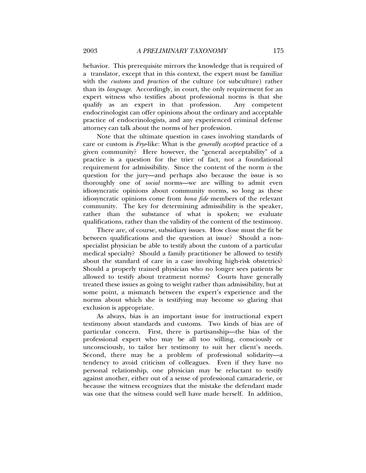behavior. This prerequisite mirrors the knowledge that is required of a translator, except that in this context, the expert must be familiar with the *customs* and *practices* of the culture (or subculture) rather than its *language*. Accordingly, in court, the only requirement for an expert witness who testifies about professional norms is that she qualify as an expert in that profession. Any competent endocrinologist can offer opinions about the ordinary and acceptable practice of endocrinologists, and any experienced criminal defense attorney can talk about the norms of her profession.

Note that the ultimate question in cases involving standards of care or custom is *Frye*-like: What is the *generally accepted* practice of a given community? Here however, the "general acceptability" of a practice is a question for the trier of fact, not a foundational requirement for admissibility. Since the content of the norm *is* the question for the jury—and perhaps also because the issue is so thoroughly one of *social* norms—we are willing to admit even idiosyncratic opinions about community norms, so long as these idiosyncratic opinions come from *bona fide* members of the relevant community. The key for determining admissibility is the speaker, rather than the substance of what is spoken; we evaluate qualifications, rather than the validity of the content of the testimony.

There are, of course, subsidiary issues. How close must the fit be between qualifications and the question at issue? Should a nonspecialist physician be able to testify about the custom of a particular medical specialty? Should a family practitioner be allowed to testify about the standard of care in a case involving high-risk obstetrics? Should a properly trained physician who no longer sees patients be allowed to testify about treatment norms? Courts have generally treated these issues as going to weight rather than admissibility, but at some point, a mismatch between the expert's experience and the norms about which she is testifying may become so glaring that exclusion is appropriate.

As always, bias is an important issue for instructional expert testimony about standards and customs. Two kinds of bias are of particular concern. First, there is partisanship—the bias of the professional expert who may be all too willing, consciously or unconsciously, to tailor her testimony to suit her client's needs. Second, there may be a problem of professional solidarity—a tendency to avoid criticism of colleagues. Even if they have no personal relationship, one physician may be reluctant to testify against another, either out of a sense of professional camaraderie, or because the witness recognizes that the mistake the defendant made was one that the witness could well have made herself. In addition,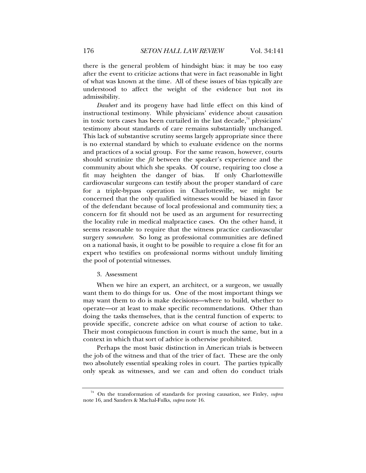there is the general problem of hindsight bias: it may be too easy after the event to criticize actions that were in fact reasonable in light of what was known at the time. All of these issues of bias typically are understood to affect the weight of the evidence but not its admissibility.

*Daubert* and its progeny have had little effect on this kind of instructional testimony. While physicians' evidence about causation in toxic torts cases has been curtailed in the last decade, $74$  physicians' testimony about standards of care remains substantially unchanged. This lack of substantive scrutiny seems largely appropriate since there is no external standard by which to evaluate evidence on the norms and practices of a social group. For the same reason, however, courts should scrutinize the *fit* between the speaker's experience and the community about which she speaks. Of course, requiring too close a fit may heighten the danger of bias. If only Charlottesville cardiovascular surgeons can testify about the proper standard of care for a triple-bypass operation in Charlottesville, we might be concerned that the only qualified witnesses would be biased in favor of the defendant because of local professional and community ties; a concern for fit should not be used as an argument for resurrecting the locality rule in medical malpractice cases. On the other hand, it seems reasonable to require that the witness practice cardiovascular surgery *somewhere*. So long as professional communities are defined on a national basis, it ought to be possible to require a close fit for an expert who testifies on professional norms without unduly limiting the pool of potential witnesses.

#### 3. Assessment

When we hire an expert, an architect, or a surgeon, we usually want them to do things for us. One of the most important things we may want them to do is make decisions—where to build, whether to operate—or at least to make specific recommendations. Other than doing the tasks themselves, that is the central function of experts: to provide specific, concrete advice on what course of action to take. Their most conspicuous function in court is much the same, but in a context in which that sort of advice is otherwise prohibited.

Perhaps the most basic distinction in American trials is between the job of the witness and that of the trier of fact. These are the only two absolutely essential speaking roles in court. The parties typically only speak as witnesses, and we can and often do conduct trials

<sup>74</sup> On the transformation of standards for proving causation, see Finley, *supra* note 16, and Sanders & Machal-Fulks, *supra* note 16.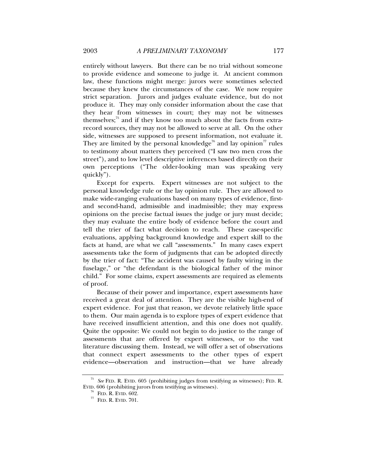entirely without lawyers. But there can be no trial without someone to provide evidence and someone to judge it. At ancient common law, these functions might merge: jurors were sometimes selected because they knew the circumstances of the case. We now require strict separation. Jurors and judges evaluate evidence, but do not produce it. They may only consider information about the case that they hear from witnesses in court; they may not be witnesses themselves; $\frac{75}{6}$  and if they know too much about the facts from extrarecord sources, they may not be allowed to serve at all. On the other side, witnesses are supposed to present information, not evaluate it. They are limited by the personal knowledge<sup>76</sup> and lay opinion<sup>77</sup> rules to testimony about matters they perceived ("I saw two men cross the street"), and to low level descriptive inferences based directly on their own perceptions ("The older-looking man was speaking very quickly").

Except for experts. Expert witnesses are not subject to the personal knowledge rule or the lay opinion rule. They are allowed to make wide-ranging evaluations based on many types of evidence, firstand second-hand, admissible and inadmissible; they may express opinions on the precise factual issues the judge or jury must decide; they may evaluate the entire body of evidence before the court and tell the trier of fact what decision to reach. These case-specific evaluations, applying background knowledge and expert skill to the facts at hand, are what we call "assessments." In many cases expert assessments take the form of judgments that can be adopted directly by the trier of fact: "The accident was caused by faulty wiring in the fuselage," or "the defendant is the biological father of the minor child." For some claims, expert assessments are required as elements of proof.

Because of their power and importance, expert assessments have received a great deal of attention. They are the visible high-end of expert evidence. For just that reason, we devote relatively little space to them. Our main agenda is to explore types of expert evidence that have received insufficient attention, and this one does not qualify. Quite the opposite: We could not begin to do justice to the range of assessments that are offered by expert witnesses, or to the vast literature discussing them. Instead, we will offer a set of observations that connect expert assessments to the other types of expert evidence—observation and instruction—that we have already

<sup>75</sup> *See* FED. R. EVID. 605 (prohibiting judges from testifying as witnesses); FED. R. EVID. 606 (prohibiting jurors from testifying as witnesses).

 $^{76}$  FED. R. EVID. 602.<br> $^{77}$  FED. R. EVID. 701.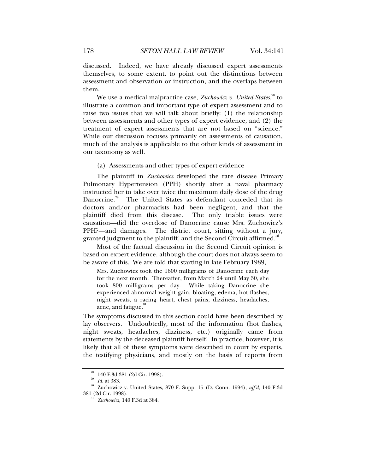discussed. Indeed, we have already discussed expert assessments themselves, to some extent, to point out the distinctions between assessment and observation or instruction, and the overlaps between them.

We use a medical malpractice case, *Zuchowicz v. United States*, 78 to illustrate a common and important type of expert assessment and to raise two issues that we will talk about briefly: (1) the relationship between assessments and other types of expert evidence, and (2) the treatment of expert assessments that are not based on "science." While our discussion focuses primarily on assessments of causation, much of the analysis is applicable to the other kinds of assessment in our taxonomy as well.

(a) Assessments and other types of expert evidence

The plaintiff in *Zuchowicz* developed the rare disease Primary Pulmonary Hypertension (PPH) shortly after a naval pharmacy instructed her to take over twice the maximum daily dose of the drug Danocrine.<sup>79</sup> The United States as defendant conceded that its doctors and/or pharmacists had been negligent, and that the plaintiff died from this disease. The only triable issues were causation—did the overdose of Danocrine cause Mrs. Zuchowicz's PPH?—and damages. The district court, sitting without a jury, granted judgment to the plaintiff, and the Second Circuit affirmed.<sup>80</sup>

Most of the factual discussion in the Second Circuit opinion is based on expert evidence, although the court does not always seem to be aware of this. We are told that starting in late February 1989,

Mrs. Zuchowicz took the 1600 milligrams of Danocrine each day for the next month. Thereafter, from March 24 until May 30, she took 800 milligrams per day. While taking Danocrine she experienced abnormal weight gain, bloating, edema, hot flashes, night sweats, a racing heart, chest pains, dizziness, headaches, acne, and fatigue.<sup>81</sup>

The symptoms discussed in this section could have been described by lay observers. Undoubtedly, most of the information (hot flashes, night sweats, headaches, dizziness, etc.) originally came from statements by the deceased plaintiff herself. In practice, however, it is likely that all of these symptoms were described in court by experts, the testifying physicians, and mostly on the basis of reports from

 $^{78}_{79}$  140 F.3d 381 (2d Cir. 1998).<br> $^{79}_{79}$  Id. at 383.

<sup>&</sup>lt;sup>80</sup> Zuchowicz v. United States, 870 F. Supp. 15 (D. Conn. 1994), *aff'd*, 140 F.3d 381 (2d Cir. 1998).

<sup>&</sup>lt;sup>81</sup> *Zuchowicz*, 140 F.3d at 384.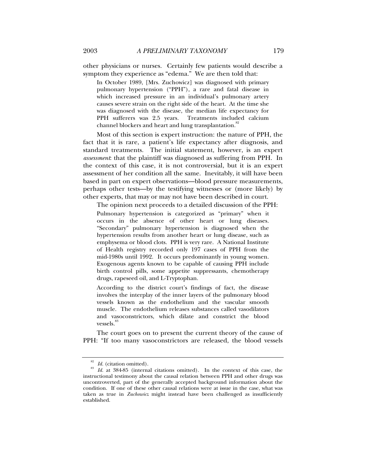other physicians or nurses. Certainly few patients would describe a symptom they experience as "edema." We are then told that:

In October 1989, [Mrs. Zuchowicz] was diagnosed with primary pulmonary hypertension ("PPH"), a rare and fatal disease in which increased pressure in an individual's pulmonary artery causes severe strain on the right side of the heart. At the time she was diagnosed with the disease, the median life expectancy for PPH sufferers was 2.5 years. Treatments included calcium channel blockers and heart and lung transplantation.<sup>82</sup>

Most of this section is expert instruction: the nature of PPH, the fact that it is rare, a patient's life expectancy after diagnosis, and standard treatments. The initial statement, however, is an expert *assessment*: that the plaintiff was diagnosed as suffering from PPH. In the context of this case, it is not controversial, but it is an expert assessment of her condition all the same. Inevitably, it will have been based in part on expert observations—blood pressure measurements, perhaps other tests—by the testifying witnesses or (more likely) by other experts, that may or may not have been described in court.

The opinion next proceeds to a detailed discussion of the PPH:

Pulmonary hypertension is categorized as "primary" when it occurs in the absence of other heart or lung diseases. "Secondary" pulmonary hypertension is diagnosed when the hypertension results from another heart or lung disease, such as emphysema or blood clots. PPH is very rare. A National Institute of Health registry recorded only 197 cases of PPH from the mid-1980s until 1992. It occurs predominantly in young women. Exogenous agents known to be capable of causing PPH include birth control pills, some appetite suppressants, chemotherapy drugs, rapeseed oil, and L-Tryptophan.

According to the district court's findings of fact, the disease involves the interplay of the inner layers of the pulmonary blood vessels known as the endothelium and the vascular smooth muscle. The endothelium releases substances called vasodilators and vasoconstrictors, which dilate and constrict the blood vessels.<sup>83</sup>

The court goes on to present the current theory of the cause of PPH: "If too many vasoconstrictors are released, the blood vessels

<sup>82</sup> *Id.* (citation omitted). 83 *Id.* at 384-85 (internal citations omitted). In the context of this case, the instructional testimony about the causal relation between PPH and other drugs was uncontroverted, part of the generally accepted background information about the condition. If one of these other causal relations were at issue in the case, what was taken as true in *Zuchowicz* might instead have been challenged as insufficiently established.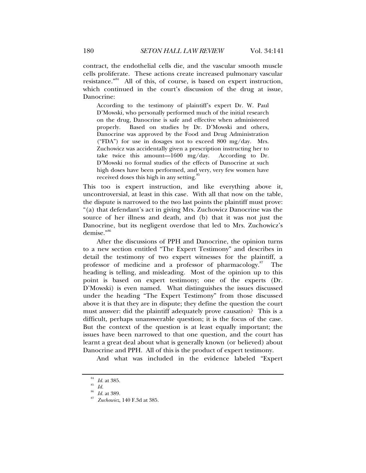contract, the endothelial cells die, and the vascular smooth muscle cells proliferate. These actions create increased pulmonary vascular resistance."84 All of this, of course, is based on expert instruction, which continued in the court's discussion of the drug at issue, Danocrine:

According to the testimony of plaintiff's expert Dr. W. Paul D'Mowski, who personally performed much of the initial research on the drug, Danocrine is safe and effective when administered properly. Based on studies by Dr. D'Mowski and others, Danocrine was approved by the Food and Drug Administration ("FDA") for use in dosages not to exceed 800 mg/day. Mrs. Zuchowicz was accidentally given a prescription instructing her to take twice this amount—1600 mg/day. According to Dr. D'Mowski no formal studies of the effects of Danocrine at such high doses have been performed, and very, very few women have received doses this high in any setting.<sup>85</sup>

This too is expert instruction, and like everything above it, uncontroversial, at least in this case. With all that now on the table, the dispute is narrowed to the two last points the plaintiff must prove: "(a) that defendant's act in giving Mrs. Zuchowicz Danocrine was the source of her illness and death, and (b) that it was not just the Danocrine, but its negligent overdose that led to Mrs. Zuchowicz's demise."<sup>86</sup>

After the discussions of PPH and Danocrine, the opinion turns to a new section entitled "The Expert Testimony" and describes in detail the testimony of two expert witnesses for the plaintiff, a professor of medicine and a professor of pharmacology. $87$  The heading is telling, and misleading. Most of the opinion up to this point is based on expert testimony; one of the experts (Dr. D'Mowski) is even named. What distinguishes the issues discussed under the heading "The Expert Testimony" from those discussed above it is that they are in dispute; they define the question the court must answer: did the plaintiff adequately prove causation? This is a difficult, perhaps unanswerable question; it is the focus of the case. But the context of the question is at least equally important; the issues have been narrowed to that one question, and the court has learnt a great deal about what is generally known (or believed) about Danocrine and PPH. All of this is the product of expert testimony.

And what was included in the evidence labeled "Expert

<sup>84</sup> *Id.* at 385. 85 *Id.*

<sup>86</sup> *Id.* at 389. 87 *Zuchowicz*, 140 F.3d at 385.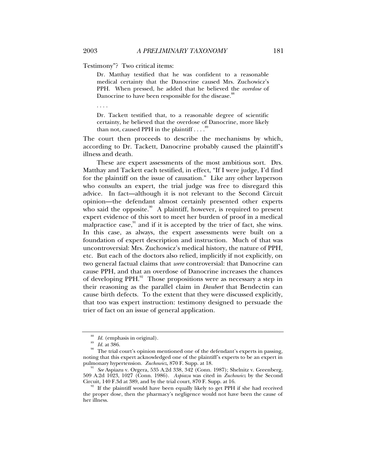Testimony"? Two critical items:

Dr. Matthay testified that he was confident to a reasonable medical certainty that the Danocrine caused Mrs. Zuchowicz's PPH. When pressed, he added that he believed the *overdose* of Danocrine to have been responsible for the disease.<sup>88</sup>

. . . .

Dr. Tackett testified that, to a reasonable degree of scientific certainty, he believed that the overdose of Danocrine, more likely than not, caused PPH in the plaintiff  $\ldots$ .<sup>89</sup>

The court then proceeds to describe the mechanisms by which, according to Dr. Tackett, Danocrine probably caused the plaintiff's illness and death.

These are expert assessments of the most ambitious sort. Drs. Matthay and Tackett each testified, in effect, "If I were judge, I'd find for the plaintiff on the issue of causation." Like any other layperson who consults an expert, the trial judge was free to disregard this advice. In fact—although it is not relevant to the Second Circuit opinion—the defendant almost certainly presented other experts who said the opposite.<sup>90</sup> A plaintiff, however, is required to present expert evidence of this sort to meet her burden of proof in a medical malpractice case, $\frac{91}{1}$  and if it is accepted by the trier of fact, she wins. In this case, as always, the expert assessments were built on a foundation of expert description and instruction. Much of that was uncontroversial: Mrs. Zuchowicz's medical history, the nature of PPH, etc. But each of the doctors also relied, implicitly if not explicitly, on two general factual claims that *were* controversial: that Danocrine can cause PPH, and that an overdose of Danocrine increases the chances of developing PPH. $92$  Those propositions were as necessary a step in their reasoning as the parallel claim in *Daubert* that Bendectin can cause birth defects. To the extent that they were discussed explicitly, that too was expert instruction: testimony designed to persuade the trier of fact on an issue of general application.

*Id.* (emphasis in original).<br>*Id.* at 386. 90 The trial court's opinion mentioned one of the defendant's experts in passing, noting that this expert acknowledged one of the plaintiff's experts to be an expert in pulmonary hypertension. *Zuchowicz*, 870 F. Supp. at 18.<br><sup>91</sup> See Aspiazu v. Orgera, 535 A.2d 338, 342 (Conn. 1987); Shelnitz v. Greenberg,

<sup>509</sup> A.2d 1023, 1027 (Conn. 1986). *Aspiazu* was cited in *Zuchowicz* by the Second

If the plaintiff would have been equally likely to get PPH if she had received the proper dose, then the pharmacy's negligence would not have been the cause of her illness.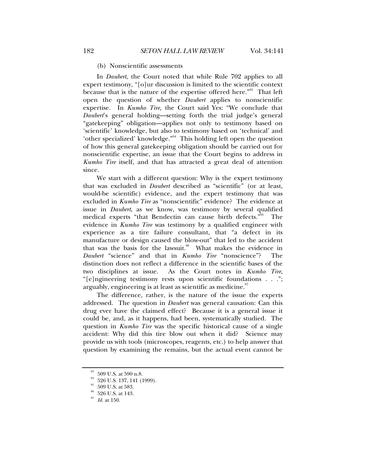#### (b) Nonscientific assessments

In *Daubert*, the Court noted that while Rule 702 applies to all expert testimony, "[o]ur discussion is limited to the scientific context because that is the nature of the expertise offered here."93 That left open the question of whether *Daubert* applies to nonscientific expertise. In *Kumho Tire,* the Court said Yes: "We conclude that *Daubert*'s general holding—setting forth the trial judge's general "gatekeeping" obligation—applies not only to testimony based on 'scientific' knowledge, but also to testimony based on 'technical' and 'other specialized' knowledge."94 This holding left open the question of how this general gatekeeping obligation should be carried out for nonscientific expertise, an issue that the Court begins to address in *Kumho Tire* itself, and that has attracted a great deal of attention since.

We start with a different question: Why is the expert testimony that was excluded in *Daubert* described as "scientific" (or at least, would-be scientific) evidence, and the expert testimony that was excluded in *Kumho Tire* as "nonscientific" evidence? The evidence at issue in *Daubert*, as we know, was testimony by several qualified medical experts "that Bendectin can cause birth defects."<sup>95</sup> The evidence in *Kumho Tire* was testimony by a qualified engineer with experience as a tire failure consultant, that "a defect in its manufacture or design caused the blow-out" that led to the accident that was the basis for the lawsuit.<sup>96</sup> What makes the evidence in *Daubert* "science" and that in *Kumho Tire* "nonscience"? The distinction does not reflect a difference in the scientific bases of the two disciplines at issue. As the Court notes in *Kumho Tire*, "[e]ngineering testimony rests upon scientific foundations . . ."; arguably, engineering is at least as scientific as medicine. $\frac{97}{10}$ 

The difference, rather, is the nature of the issue the experts addressed. The question in *Daubert* was general causation: Can this drug ever have the claimed effect? Because it is a general issue it could be, and, as it happens, had been, systematically studied. The question in *Kumho Tire* was the specific historical cause of a single accident: Why did this tire blow out when it did? Science may provide us with tools (microscopes, reagents, etc.) to help answer that question by examining the remains, but the actual event cannot be

 $^{93}\,$  509 U.S. at 590 n.8.

<sup>&</sup>lt;sup>94</sup> 526 U.S. 137, 141 (1999).

 $^\mathrm{95}$  509 U.S. at 583.

 $^{96}\,$  526 U.S. at 143.

<sup>97</sup> *Id.* at 150.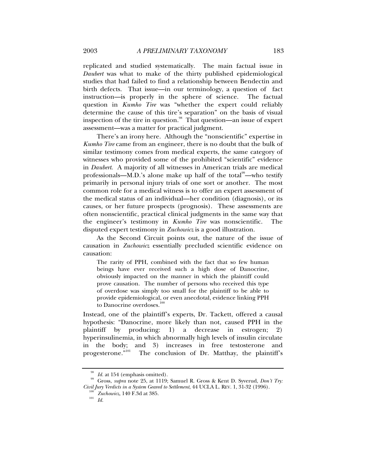replicated and studied systematically. The main factual issue in *Daubert* was what to make of the thirty published epidemiological studies that had failed to find a relationship between Bendectin and birth defects. That issue—in our terminology, a question of fact instruction—is properly in the sphere of science. The factual question in *Kumho Tire* was "whether the expert could reliably determine the cause of this tire's separation" on the basis of visual inspection of the tire in question.<sup>98</sup> That question—an issue of expert assessment—was a matter for practical judgment.

There's an irony here. Although the "nonscientific" expertise in *Kumho Tire* came from an engineer, there is no doubt that the bulk of similar testimony comes from medical experts, the same category of witnesses who provided some of the prohibited "scientific" evidence in *Daubert*. A majority of all witnesses in American trials are medical professionals—M.D.'s alone make up half of the total $\alpha$ <sup>99</sup>—who testify primarily in personal injury trials of one sort or another. The most common role for a medical witness is to offer an expert assessment of the medical status of an individual—her condition (diagnosis), or its causes, or her future prospects (prognosis). These assessments are often nonscientific, practical clinical judgments in the same way that the engineer's testimony in *Kumho Tire* was nonscientific. The disputed expert testimony in *Zuchowicz* is a good illustration.

As the Second Circuit points out, the nature of the issue of causation in *Zuchowicz* essentially precluded scientific evidence on causation:

The rarity of PPH, combined with the fact that so few human beings have ever received such a high dose of Danocrine, obviously impacted on the manner in which the plaintiff could prove causation. The number of persons who received this type of overdose was simply too small for the plaintiff to be able to provide epidemiological, or even anecdotal, evidence linking PPH to Danocrine overdoses.<sup>100</sup>

Instead, one of the plaintiff's experts, Dr. Tackett, offered a causal hypothesis: "Danocrine, more likely than not, caused PPH in the plaintiff by producing: 1) a decrease in estrogen; 2) hyperinsulinemia, in which abnormally high levels of insulin circulate in the body; and 3) increases in free testosterone and progesterone.<sup>"101</sup> The conclusion of Dr. Matthay, the plaintiff's

<sup>&</sup>lt;sup>98</sup> *Id.* at 154 (emphasis omitted).<br><sup>99</sup> Gross, *supra* note 25, at 1119; Samuel R. Gross & Kent D. Syverud, *Don't Try:*<br>*Civil Jury Verdicts in a System Geared to Settlement*, 44 UCLA L. REV. 1, 31-32 (1996).

<sup>&</sup>lt;sup>100</sup> *Zuchowicz*, 140 F.3d at 385.<br><sup>101</sup> *Id.*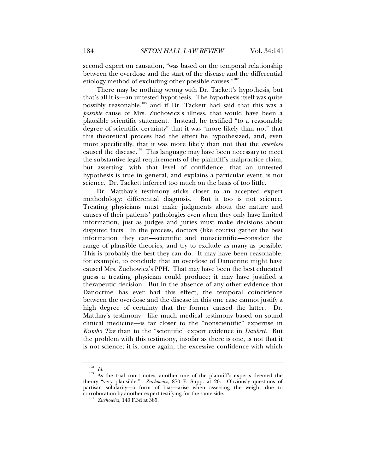second expert on causation, "was based on the temporal relationship between the overdose and the start of the disease and the differential etiology method of excluding other possible causes." $102$ 

There may be nothing wrong with Dr. Tackett's hypothesis, but that's all it is—an untested hypothesis. The hypothesis itself was quite possibly reasonable,<sup>103</sup> and if Dr. Tackett had said that this was a *possible* cause of Mrs. Zuchowicz's illness, that would have been a plausible scientific statement. Instead, he testified "to a reasonable degree of scientific certainty" that it was "more likely than not" that this theoretical process had the effect he hypothesized, and, even more specifically, that it was more likely than not that the *overdose* caused the disease.<sup>104</sup> This language may have been necessary to meet the substantive legal requirements of the plaintiff's malpractice claim, but asserting, with that level of confidence, that an untested hypothesis is true in general, and explains a particular event, is not science. Dr. Tackett inferred too much on the basis of too little.

Dr. Matthay's testimony sticks closer to an accepted expert methodology: differential diagnosis. But it too is not science. Treating physicians must make judgments about the nature and causes of their patients' pathologies even when they only have limited information, just as judges and juries must make decisions about disputed facts. In the process, doctors (like courts) gather the best information they can—scientific and nonscientific—consider the range of plausible theories, and try to exclude as many as possible. This is probably the best they can do. It may have been reasonable, for example, to conclude that an overdose of Danocrine might have caused Mrs. Zuchowicz's PPH. That may have been the best educated guess a treating physician could produce; it may have justified a therapeutic decision. But in the absence of any other evidence that Danocrine has ever had this effect, the temporal coincidence between the overdose and the disease in this one case cannot justify a high degree of certainty that the former caused the latter. Dr. Matthay's testimony—like much medical testimony based on sound clinical medicine—is far closer to the "nonscientific" expertise in *Kumho Tire* than to the "scientific" expert evidence in *Daubert*. But the problem with this testimony, insofar as there is one, is not that it is not science; it is, once again, the excessive confidence with which

<sup>&</sup>lt;sup>102</sup> *Id.* As the trial court notes, another one of the plaintiff's experts deemed the theory "very plausible." *Zuchowicz*, 870 F. Supp. at 20. Obviously questions of partisan solidarity—a form of bias—arise when assessing the weight due to corroboration by another expert testifying for the same side. 104 *Zuchowicz*, 140 F.3d at 385.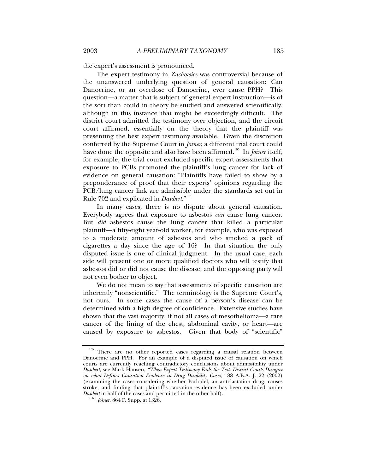the expert's assessment is pronounced.

The expert testimony in *Zuchowicz* was controversial because of the unanswered underlying question of general causation: Can Danocrine, or an overdose of Danocrine, ever cause PPH? This question—a matter that is subject of general expert instruction—is of the sort than could in theory be studied and answered scientifically, although in this instance that might be exceedingly difficult. The district court admitted the testimony over objection, and the circuit court affirmed, essentially on the theory that the plaintiff was presenting the best expert testimony available. Given the discretion conferred by the Supreme Court in *Joiner*, a different trial court could have done the opposite and also have been affirmed.<sup>105</sup> In *Joiner* itself, for example, the trial court excluded specific expert assessments that exposure to PCBs promoted the plaintiff's lung cancer for lack of evidence on general causation: "Plaintiffs have failed to show by a preponderance of proof that their experts' opinions regarding the PCB/lung cancer link are admissible under the standards set out in Rule 702 and explicated in *Daubert*."<sup>106</sup>

In many cases, there is no dispute about general causation. Everybody agrees that exposure to asbestos *can* cause lung cancer. But *did* asbestos cause the lung cancer that killed a particular plaintiff—a fifty-eight year-old worker, for example, who was exposed to a moderate amount of asbestos and who smoked a pack of cigarettes a day since the age of 16? In that situation the only disputed issue is one of clinical judgment. In the usual case, each side will present one or more qualified doctors who will testify that asbestos did or did not cause the disease, and the opposing party will not even bother to object.

We do not mean to say that assessments of specific causation are inherently "nonscientific." The terminology is the Supreme Court's, not ours. In some cases the cause of a person's disease can be determined with a high degree of confidence. Extensive studies have shown that the vast majority, if not all cases of mesothelioma—a rare cancer of the lining of the chest, abdominal cavity, or heart—are caused by exposure to asbestos. Given that body of "scientific"

<sup>&</sup>lt;sup>105</sup> There are no other reported cases regarding a causal relation between Danocrine and PPH. For an example of a disputed issue of causation on which courts are currently reaching contradictory conclusions about admissibility under *Daubert*, see Mark Hansen, *"When Expert Testimony Fails the Test: District Courts Disagree on what Defines Causation Evidence in Drug Disability Cases,"* 88 A.B.A. J. 22 (2002) (examining the cases considering whether Parlodel, an anti-lactation drug, causes stroke, and finding that plaintiff's causation evidence has been excluded under *Daubert* in half of the cases and permitted in the other half). 106 *Joiner*, 864 F. Supp. at 1326.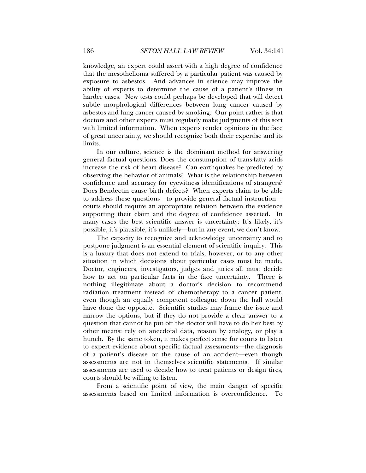knowledge, an expert could assert with a high degree of confidence that the mesothelioma suffered by a particular patient was caused by exposure to asbestos. And advances in science may improve the ability of experts to determine the cause of a patient's illness in harder cases. New tests could perhaps be developed that will detect subtle morphological differences between lung cancer caused by asbestos and lung cancer caused by smoking. Our point rather is that doctors and other experts must regularly make judgments of this sort with limited information. When experts render opinions in the face of great uncertainty, we should recognize both their expertise and its limits.

In our culture, science is the dominant method for answering general factual questions: Does the consumption of trans-fatty acids increase the risk of heart disease? Can earthquakes be predicted by observing the behavior of animals? What is the relationship between confidence and accuracy for eyewitness identifications of strangers? Does Bendectin cause birth defects? When experts claim to be able to address these questions—to provide general factual instruction courts should require an appropriate relation between the evidence supporting their claim and the degree of confidence asserted. In many cases the best scientific answer is uncertainty: It's likely, it's possible, it's plausible, it's unlikely—but in any event, we don't know.

The capacity to recognize and acknowledge uncertainty and to postpone judgment is an essential element of scientific inquiry. This is a luxury that does not extend to trials, however, or to any other situation in which decisions about particular cases must be made. Doctor, engineers, investigators, judges and juries all must decide how to act on particular facts in the face uncertainty. There is nothing illegitimate about a doctor's decision to recommend radiation treatment instead of chemotherapy to a cancer patient, even though an equally competent colleague down the hall would have done the opposite. Scientific studies may frame the issue and narrow the options, but if they do not provide a clear answer to a question that cannot be put off the doctor will have to do her best by other means: rely on anecdotal data, reason by analogy, or play a hunch. By the same token, it makes perfect sense for courts to listen to expert evidence about specific factual assessments—the diagnosis of a patient's disease or the cause of an accident—even though assessments are not in themselves scientific statements. If similar assessments are used to decide how to treat patients or design tires, courts should be willing to listen.

From a scientific point of view, the main danger of specific assessments based on limited information is overconfidence. To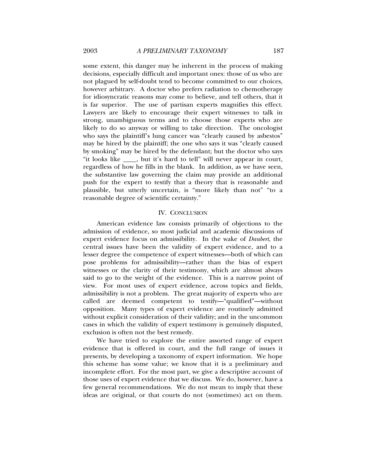some extent, this danger may be inherent in the process of making decisions, especially difficult and important ones: those of us who are not plagued by self-doubt tend to become committed to our choices, however arbitrary. A doctor who prefers radiation to chemotherapy for idiosyncratic reasons may come to believe, and tell others, that it is far superior. The use of partisan experts magnifies this effect. Lawyers are likely to encourage their expert witnesses to talk in strong, unambiguous terms and to choose those experts who are likely to do so anyway or willing to take direction. The oncologist who says the plaintiff's lung cancer was "clearly caused by asbestos" may be hired by the plaintiff; the one who says it was "clearly caused by smoking" may be hired by the defendant; but the doctor who says "it looks like \_\_\_\_, but it's hard to tell" will never appear in court, regardless of how he fills in the blank. In addition, as we have seen, the substantive law governing the claim may provide an additional push for the expert to testify that a theory that is reasonable and plausible, but utterly uncertain, is "more likely than not" "to a reasonable degree of scientific certainty."

### IV. CONCLUSION

American evidence law consists primarily of objections to the admission of evidence, so most judicial and academic discussions of expert evidence focus on admissibility. In the wake of *Daubert*, the central issues have been the validity of expert evidence, and to a lesser degree the competence of expert witnesses—both of which can pose problems for admissibility—rather than the bias of expert witnesses or the clarity of their testimony, which are almost always said to go to the weight of the evidence. This is a narrow point of view. For most uses of expert evidence, across topics and fields, admissibility is not a problem. The great majority of experts who are called are deemed competent to testify—"qualified"—without opposition. Many types of expert evidence are routinely admitted without explicit consideration of their validity; and in the uncommon cases in which the validity of expert testimony is genuinely disputed, exclusion is often not the best remedy.

We have tried to explore the entire assorted range of expert evidence that is offered in court, and the full range of issues it presents, by developing a taxonomy of expert information. We hope this scheme has some value; we know that it is a preliminary and incomplete effort. For the most part, we give a descriptive account of those uses of expert evidence that we discuss. We do, however, have a few general recommendations. We do not mean to imply that these ideas are original, or that courts do not (sometimes) act on them.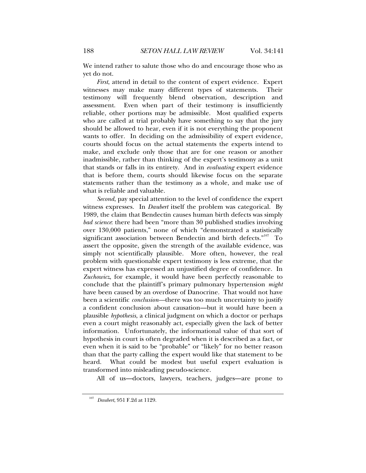We intend rather to salute those who do and encourage those who as yet do not.

*First*, attend in detail to the content of expert evidence. Expert witnesses may make many different types of statements. Their testimony will frequently blend observation, description and assessment. Even when part of their testimony is insufficiently reliable, other portions may be admissible. Most qualified experts who are called at trial probably have something to say that the jury should be allowed to hear, even if it is not everything the proponent wants to offer. In deciding on the admissibility of expert evidence, courts should focus on the actual statements the experts intend to make, and exclude only those that are for one reason or another inadmissible, rather than thinking of the expert's testimony as a unit that stands or falls in its entirety. And in *evaluating* expert evidence that is before them, courts should likewise focus on the separate statements rather than the testimony as a whole, and make use of what is reliable and valuable.

*Second*, pay special attention to the level of confidence the expert witness expresses. In *Daubert* itself the problem was categorical. By 1989, the claim that Bendectin causes human birth defects was simply *bad science*: there had been "more than 30 published studies involving over 130,000 patients," none of which "demonstrated a statistically significant association between Bendectin and birth defects."<sup>107</sup> To assert the opposite, given the strength of the available evidence, was simply not scientifically plausible. More often, however, the real problem with questionable expert testimony is less extreme, that the expert witness has expressed an unjustified degree of confidence. In *Zuchowicz*, for example, it would have been perfectly reasonable to conclude that the plaintiff's primary pulmonary hypertension *might*  have been caused by an overdose of Danocrine. That would not have been a scientific *conclusion—*there was too much uncertainty to justify a confident conclusion about causation—but it would have been a plausible *hypothesis*, a clinical judgment on which a doctor or perhaps even a court might reasonably act, especially given the lack of better information. Unfortunately, the informational value of that sort of hypothesis in court is often degraded when it is described as a fact, or even when it is said to be "probable" or "likely" for no better reason than that the party calling the expert would like that statement to be heard. What could be modest but useful expert evaluation is transformed into misleading pseudo-science.

All of us—doctors, lawyers, teachers, judges—are prone to

<sup>107</sup> *Daubert*, 951 F.2d at 1129.